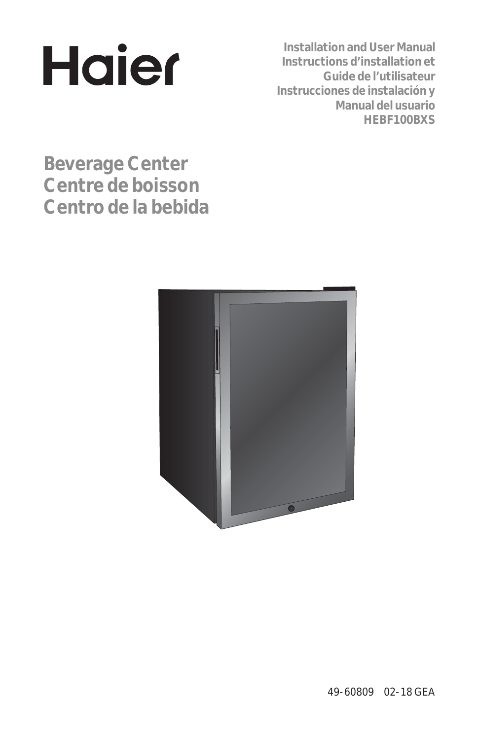

**Installation and User Manual Instructions d'installation et Guide de l'utilisateur Instrucciones de instalación y Manual del usuario HEBF100BXS**

**Beverage Center Centre de boisson Centro de la bebida** 

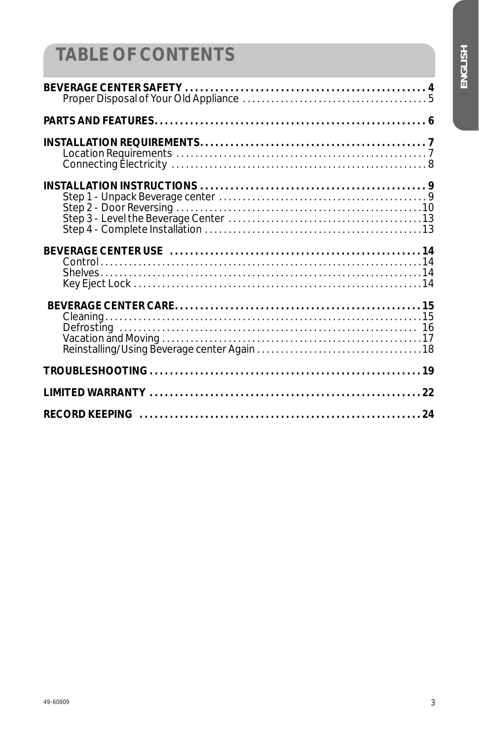# ENGLISH

# **TABLE OF CONTENTS**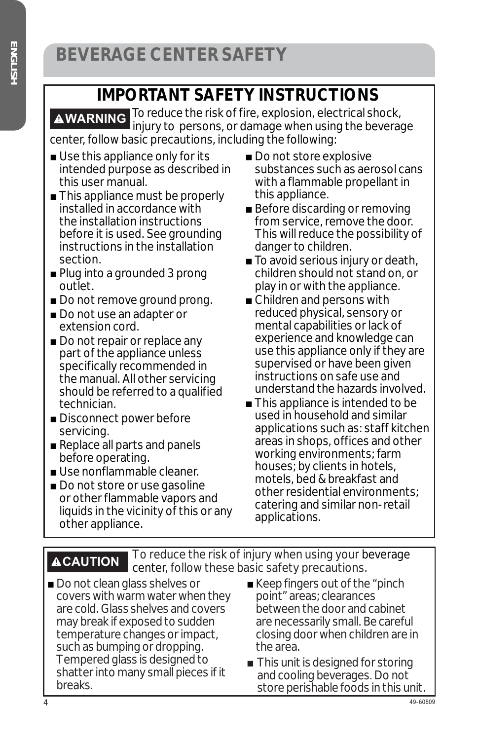### **IMPORTANT SAFETY INSTRUCTIONS**

**AWARNING** To reduce the risk of fire, explosion, electrical shock, injury to persons, or damage when using the beverage center, follow basic precautions, including the following:

- $\blacksquare$  Use this appliance only for its intended purpose as described in this user manual.
- This appliance must be properly installed in accordance with the installation instructions before it is used. See grounding instructions in the installation section.
- $\blacksquare$  Plug into a grounded 3 prong outlet.
- Do not remove ground prong.
- Do not use an adapter or extension cord.
- Do not repair or replace any part of the appliance unless specifically recommended in the manual. All other servicing should be referred to a qualified technician.
- Disconnect power before servicing.
- $\blacksquare$  Replace all parts and panels before operating.
- $\blacksquare$  Use nonflammable cleaner.
- Do not store or use gasoline or other flammable vapors and liquids in the vicinity of this or any other appliance.
- $\blacksquare$  Do not store explosive substances such as aerosol cans with a flammable propellant in this appliance.
- Before discarding or removing from service, remove the door. This will reduce the possibility of danger to children.
- $\blacksquare$  To avoid serious injury or death, children should not stand on, or play in or with the appliance.
- $\blacksquare$  Children and persons with reduced physical, sensory or mental capabilities or lack of experience and knowledge can use this appliance only if they are supervised or have been given instructions on safe use and understand the hazards involved.
- $\blacksquare$  This appliance is intended to be used in household and similar applications such as: staff kitchen areas in shops, offices and other working environments; farm houses; by clients in hotels, motels, bed & breakfast and other residential environments; catering and similar non-retail applications.

**ACAUTION To reduce the risk of injury when using your beverage** center, follow these basic safety precautions.

- Do not clean glass shelves or covers with warm water when they are cold. Glass shelves and covers may break if exposed to sudden temperature changes or impact, such as bumping or dropping. Tempered glass is designed to shatter into many small pieces if it breaks.
- $\blacksquare$  Keep fingers out of the "pinch point" areas; clearances between the door and cabinet are necessarily small. Be careful closing door when children are in the area.
- $\blacksquare$  This unit is designed for storing and cooling beverages. Do not store perishable foods in this unit.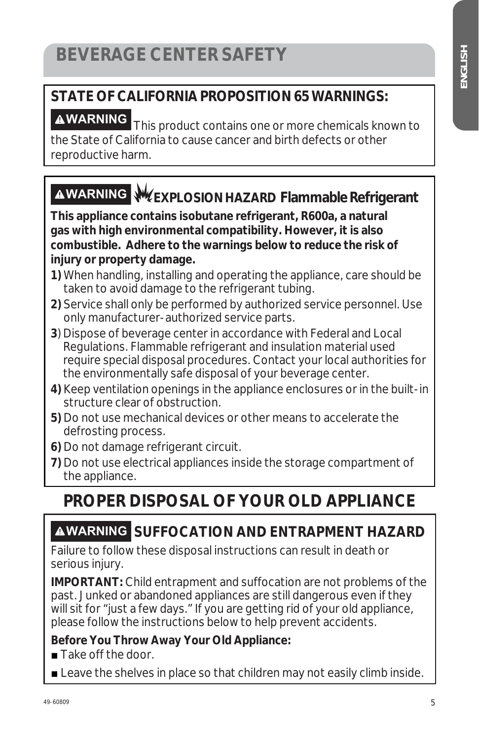## **STATE OF CALIFORNIA PROPOSITION 65 WARNINGS:**

**AWARNING** This product contains one or more chemicals known to the State of California to cause cancer and birth defects or other reproductive harm.

# **WARNING EXPLOSION HAZARD Flammable Refrigerant**

**This appliance contains isobutane refrigerant, R600a, a natural gas with high environmental compatibility. However, it is also combustible. Adhere to the warnings below to reduce the risk of injury or property damage.**

- **1)** When handling, installing and operating the appliance, care should be taken to avoid damage to the refrigerant tubing.
- **2)** Service shall only be performed by authorized service personnel. Use only manufacturer-authorized service parts.
- **3**) Dispose of beverage center in accordance with Federal and Local Regulations. Flammable refrigerant and insulation material used require special disposal procedures. Contact your local authorities for the environmentally safe disposal of your beverage center.
- **4)** Keep ventilation openings in the appliance enclosures or in the built-in structure clear of obstruction.
- **5)** Do not use mechanical devices or other means to accelerate the defrosting process.
- **6)** Do not damage refrigerant circuit.
- **7)** Do not use electrical appliances inside the storage compartment of the appliance.

# **PROPER DISPOSAL OF YOUR OLD APPLIANCE**

#### **WARNING SUFFOCATION AND ENTRAPMENT HAZARD**

Failure to follow these disposal instructions can result in death or serious injury.

**IMPORTANT:** Child entrapment and suffocation are not problems of the past. Junked or abandoned appliances are still dangerous even if they will sit for "just a few days." If you are getting rid of your old appliance, please follow the instructions below to help prevent accidents.

#### **Before You Throw Away Your Old Appliance:**

 $\blacksquare$  Take off the door.

**Example 20 Leave the shelves in place so that children may not easily climb inside.**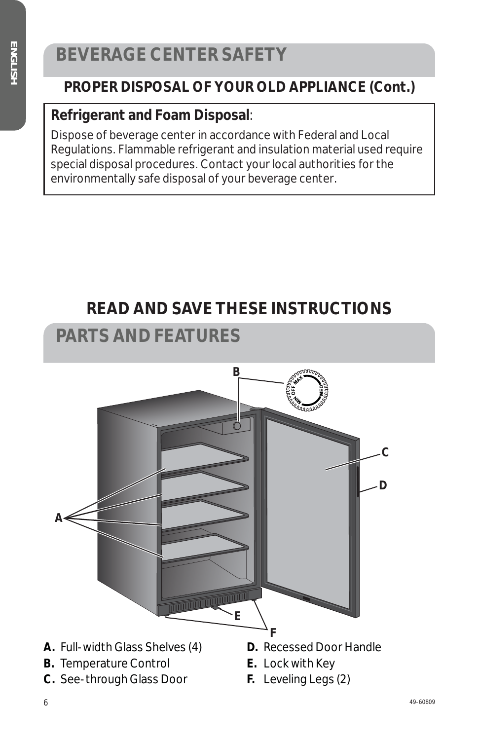# **BEVERAGE CENTER SAFETY**

#### **PROPER DISPOSAL OF YOUR OLD APPLIANCE (Cont.)**

#### **Refrigerant and Foam Disposal**:

Dispose of beverage center in accordance with Federal and Local Regulations. Flammable refrigerant and insulation material used require special disposal procedures. Contact your local authorities for the environmentally safe disposal of your beverage center.

### **READ AND SAVE THESE INSTRUCTIONS**

#### **PARTS AND FEATURES**

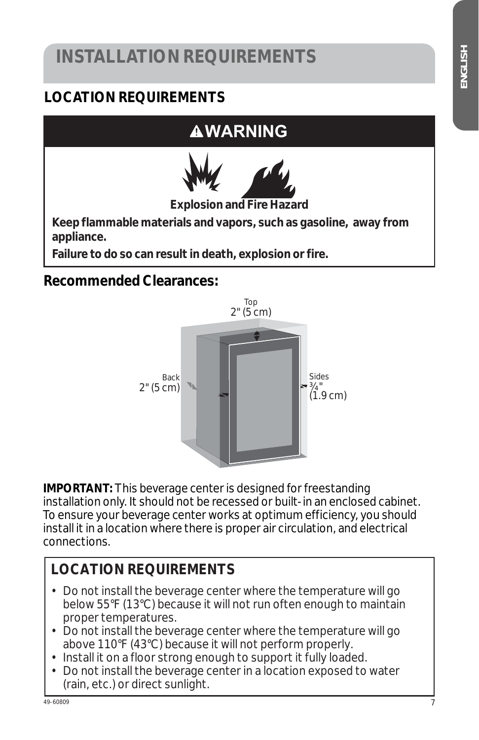# **INSTALLATION REQUIREMENTS**

#### **LOCATION REQUIREMENTS**

# **WARNING**



**Explosion and Fire Hazard**

**Keep flammable materials and vapors, such as gasoline, away from appliance.** 

**Failure to do so can result in death, explosion or fire.** 

#### **Recommended Clearances:**



**IMPORTANT:** This beverage center is designed for freestanding installation only. It should not be recessed or built-in an enclosed cabinet. To ensure your beverage center works at optimum efficiency, you should install it in a location where there is proper air circulation, and electrical connections.

#### **LOCATION REQUIREMENTS**

- Do not install the beverage center where the temperature will go below 55°F (13°C) because it will not run often enough to maintain proper temperatures.
- Do not install the beverage center where the temperature will go above 110°F (43°C) because it will not perform properly.
- Install it on a floor strong enough to support it fully loaded.
- Do not install the beverage center in a location exposed to water (rain, etc.) or direct sunlight.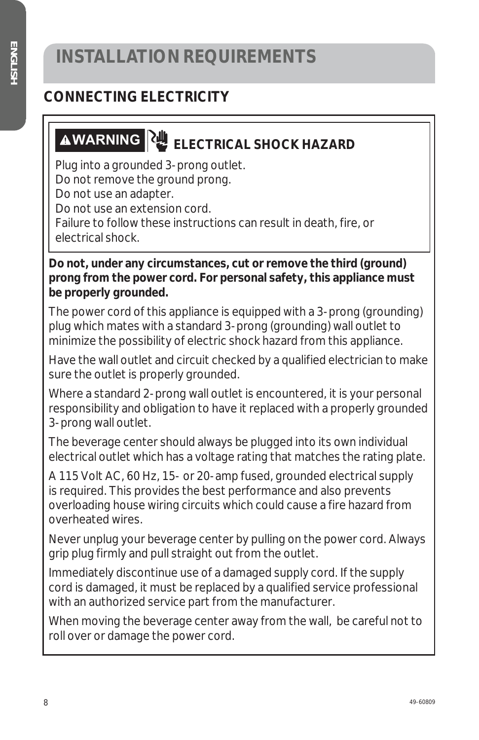#### **CONNECTING ELECTRICITY**

# **AWARNING ELECTRICAL SHOCK HAZARD**

Plug into a grounded 3-prong outlet. Do not remove the ground prong. Do not use an adapter. Do not use an extension cord. Failure to follow these instructions can result in death, fire, or

electrical shock.

**Do not, under any circumstances, cut or remove the third (ground) prong from the power cord. For personal safety, this appliance must be properly grounded.**

The power cord of this appliance is equipped with a 3-prong (grounding) plug which mates with a standard 3-prong (grounding) wall outlet to minimize the possibility of electric shock hazard from this appliance.

Have the wall outlet and circuit checked by a qualified electrician to make sure the outlet is properly grounded.

Where a standard 2-prong wall outlet is encountered, it is your personal responsibility and obligation to have it replaced with a properly grounded 3-prong wall outlet.

The beverage center should always be plugged into its own individual electrical outlet which has a voltage rating that matches the rating plate.

A 115 Volt AC, 60 Hz, 15- or 20-amp fused, grounded electrical supply is required. This provides the best performance and also prevents overloading house wiring circuits which could cause a fire hazard from overheated wires.

Never unplug your beverage center by pulling on the power cord. Always grip plug firmly and pull straight out from the outlet.

Immediately discontinue use of a damaged supply cord. If the supply cord is damaged, it must be replaced by a qualified service professional with an authorized service part from the manufacturer.

When moving the beverage center away from the wall, be careful not to roll over or damage the power cord.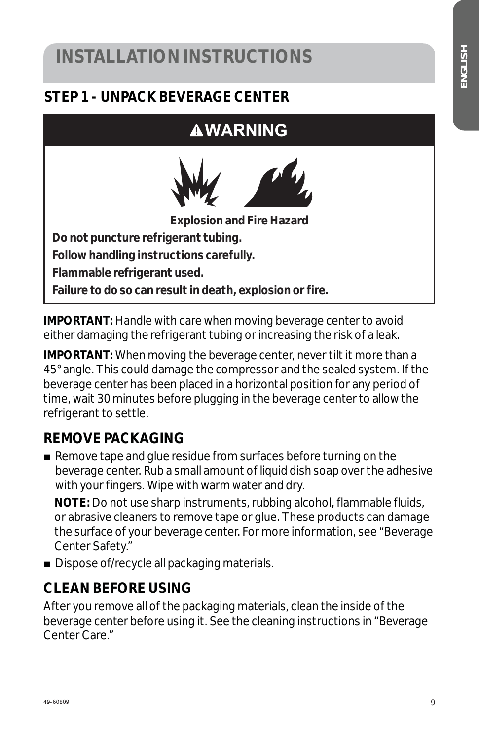#### **STEP 1 - UNPACK BEVERAGE CENTER**

#### **WARNING**



**Explosion and Fire Hazard**

**Do not puncture refrigerant tubing. Follow handling instructions carefully. Flammable refrigerant used. Failure to do so can result in death, explosion or fire.** 

**IMPORTANT:** Handle with care when moving beverage center to avoid either damaging the refrigerant tubing or increasing the risk of a leak.

**IMPORTANT:** When moving the beverage center, never tilt it more than a 45° angle. This could damage the compressor and the sealed system. If the beverage center has been placed in a horizontal position for any period of time, wait 30 minutes before plugging in the beverage center to allow the refrigerant to settle.

#### **REMOVE PACKAGING**

 $\blacksquare$  Remove tape and glue residue from surfaces before turning on the beverage center. Rub a small amount of liquid dish soap over the adhesive with your fingers. Wipe with warm water and dry.

 **NOTE:** Do not use sharp instruments, rubbing alcohol, flammable fluids, or abrasive cleaners to remove tape or glue. These products can damage the surface of your beverage center. For more information, see "Beverage Center Safety."

 $\blacksquare$  Dispose of/recycle all packaging materials.

#### **CLEAN BEFORE USING**

After you remove all of the packaging materials, clean the inside of the beverage center before using it. See the cleaning instructions in "Beverage Center Care."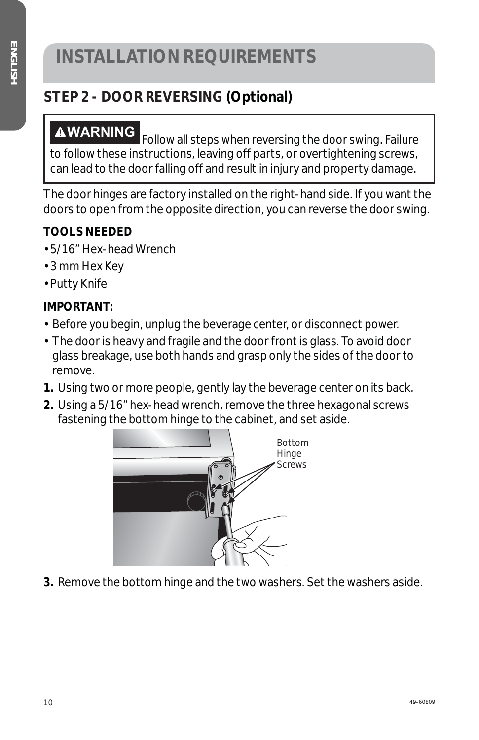# **INSTALLATION REQUIREMENTS**

#### **STEP 2 - DOOR REVERSING (Optional)**

**AWARNING** Follow all steps when reversing the door swing. Failure to follow these instructions, leaving off parts, or overtightening screws, can lead to the door falling off and result in injury and property damage.

The door hinges are factory installed on the right-hand side. If you want the doors to open from the opposite direction, you can reverse the door swing.

#### **TOOLS NEEDED**

- 5/16" Hex-head Wrench
- 3 mm Hex Key
- Putty Knife

#### **IMPORTANT:**

- Before you begin, unplug the beverage center, or disconnect power.
- The door is heavy and fragile and the door front is glass. To avoid door glass breakage, use both hands and grasp only the sides of the door to remove.
- **1.** Using two or more people, gently lay the beverage center on its back.
- **2.** Using a 5/16" hex-head wrench, remove the three hexagonal screws fastening the bottom hinge to the cabinet, and set aside.



**3.** Remove the bottom hinge and the two washers. Set the washers aside.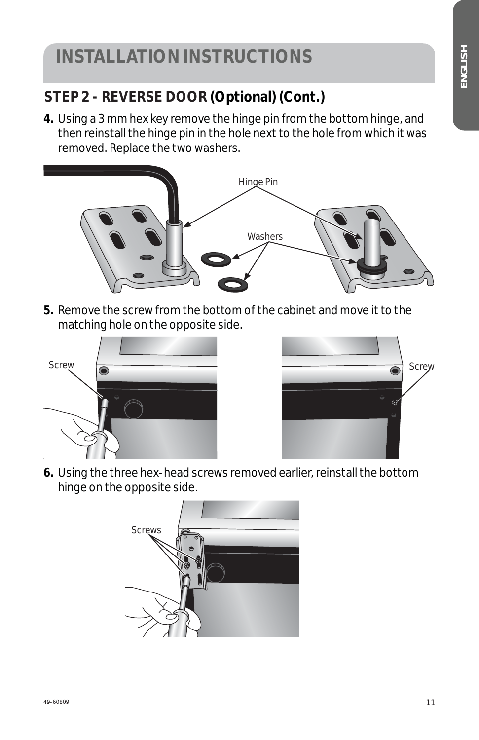#### **STEP 2 - REVERSE DOOR (Optional) (Cont.)**

**4.** Using a 3 mm hex key remove the hinge pin from the bottom hinge, and then reinstall the hinge pin in the hole next to the hole from which it was removed. Replace the two washers.



**5.** Remove the screw from the bottom of the cabinet and move it to the matching hole on the opposite side.





**6.** Using the three hex-head screws removed earlier, reinstall the bottom hinge on the opposite side.

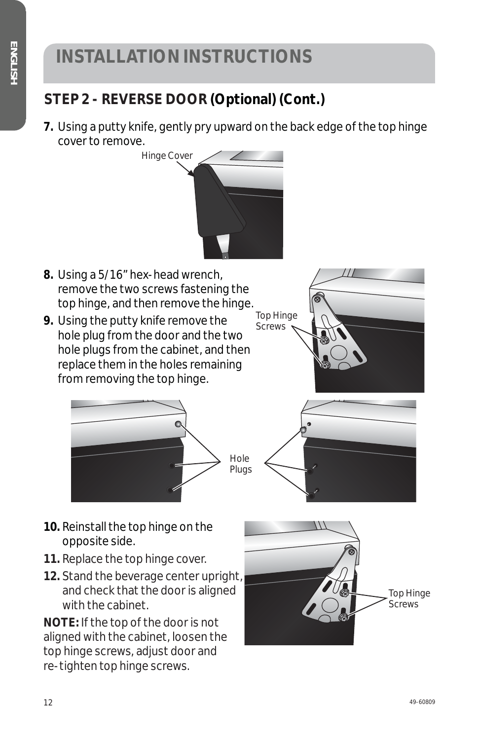#### **STEP 2 - REVERSE DOOR (Optional) (Cont.)**

**7.** Using a putty knife, gently pry upward on the back edge of the top hinge cover to remove.



- **8.** Using a 5/16" hex-head wrench, remove the two screws fastening the top hinge, and then remove the hinge.
- **9.** Using the putty knife remove the hole plug from the door and the two hole plugs from the cabinet, and then replace them in the holes remaining from removing the top hinge.







- **10.** Reinstall the top hinge on the opposite side.
- **11.** Replace the top hinge cover.
- **12.** Stand the beverage center upright, and check that the door is aligned with the cabinet.

**NOTE:** If the top of the door is not aligned with the cabinet, loosen the top hinge screws, adjust door and re-tighten top hinge screws.

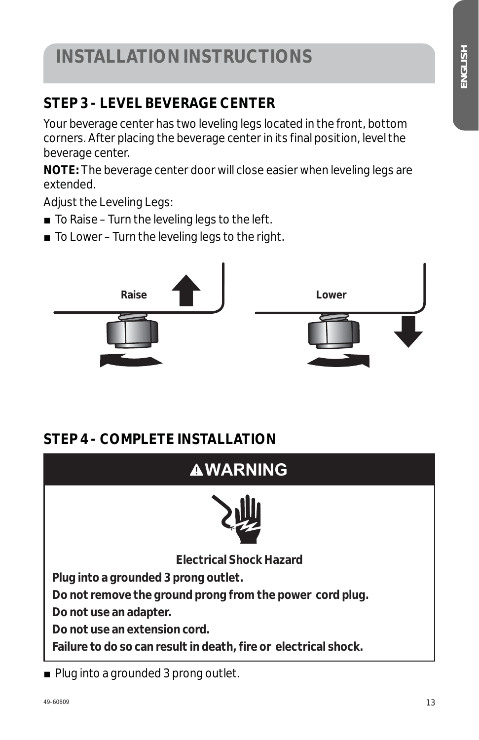#### **STEP 3 - LEVEL BEVERAGE CENTER**

Your beverage center has two leveling legs located in the front, bottom corners. After placing the beverage center in its final position, level the beverage center.

**NOTE:** The beverage center door will close easier when leveling legs are extended.

Adjust the Leveling Legs:

- $\blacksquare$  To Raise Turn the leveling legs to the left.
- $\blacksquare$  To Lower Turn the leveling legs to the right.



#### **STEP 4 - COMPLETE INSTALLATION**



 $\blacksquare$  Plug into a grounded 3 prong outlet.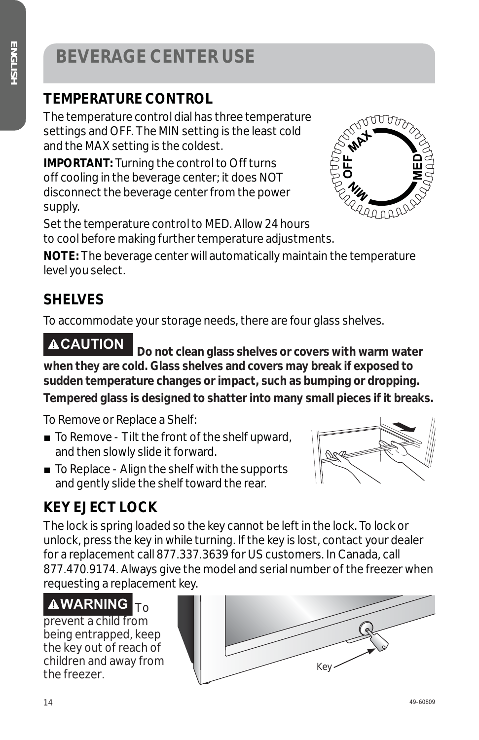# **BEVERAGE CENTER USE**

#### **TEMPERATURE CONTROL**

The temperature control dial has three temperature settings and OFF. The MIN setting is the least cold and the MAX setting is the coldest.

**IMPORTANT:** Turning the control to Off turns off cooling in the beverage center; it does NOT disconnect the beverage center from the power supply.



Set the temperature control to MED. Allow 24 hours to cool before making further temperature adjustments.

**NOTE:** The beverage center will automatically maintain the temperature level you select.

#### **SHELVES**

To accommodate your storage needs, there are four glass shelves.

**CAUTION Do not clean glass shelves or covers with warm water when they are cold. Glass shelves and covers may break if exposed to sudden temperature changes or impact, such as bumping or dropping.** 

**Tempered glass is designed to shatter into many small pieces if it breaks.**

To Remove or Replace a Shelf:

- $\blacksquare$  To Remove Tilt the front of the shelf upward, and then slowly slide it forward.
- $\blacksquare$  To Replace Align the shelf with the supports and gently slide the shelf toward the rear.

#### **KEY EJECT LOCK**

The lock is spring loaded so the key cannot be left in the lock. To lock or unlock, press the key in while turning. If the key is lost, contact your dealer for a replacement call 877.337.3639 for US customers. In Canada, call 877.470.9174. Always give the model and serial number of the freezer when requesting a replacement key.

# **AWARNING**

prevent a child from being entrapped, keep the key out of reach of children and away from



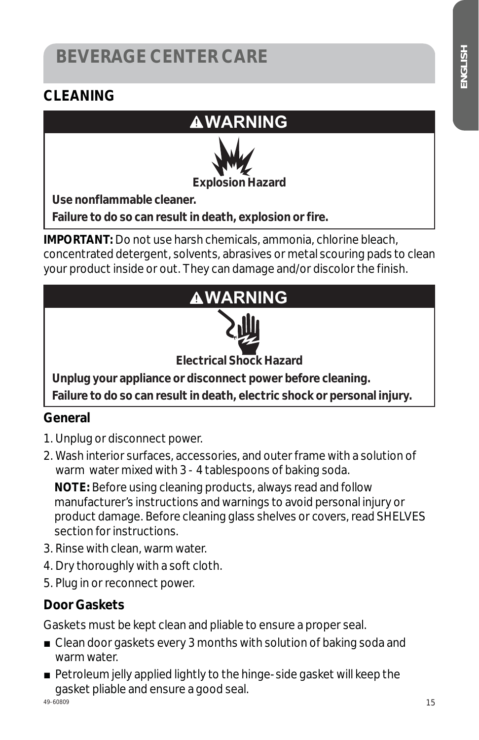# **BEVERAGE CENTER CARE**

#### **CLEANING**

#### **WARNING**



**Use nonflammable cleaner.** 

**Failure to do so can result in death, explosion or fire.** 

**IMPORTANT:** Do not use harsh chemicals, ammonia, chlorine bleach, concentrated detergent, solvents, abrasives or metal scouring pads to clean your product inside or out. They can damage and/or discolor the finish.



#### **General**

- 1. Unplug or disconnect power.
- 2. Wash interior surfaces, accessories, and outer frame with a solution of warm water mixed with 3 - 4 tablespoons of baking soda.

**NOTE:** Before using cleaning products, always read and follow manufacturer's instructions and warnings to avoid personal injury or product damage. Before cleaning glass shelves or covers, read SHELVES section for instructions.

- 3. Rinse with clean, warm water.
- 4. Dry thoroughly with a soft cloth.
- 5. Plug in or reconnect power.

#### **Door Gaskets**

Gaskets must be kept clean and pliable to ensure a proper seal.

- $\blacksquare$  Clean door gaskets every 3 months with solution of baking soda and warm water.
- $\blacksquare$  Petroleum jelly applied lightly to the hinge-side gasket will keep the gasket pliable and ensure a good seal.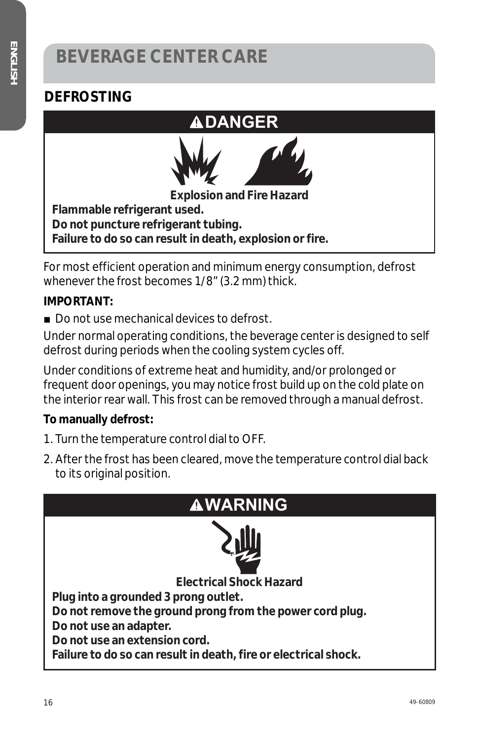#### **DEFROSTING**



For most efficient operation and minimum energy consumption, defrost whenever the frost becomes 1/8" (3.2 mm) thick.

#### **IMPORTANT:**

 $\blacksquare$  Do not use mechanical devices to defrost.

Under normal operating conditions, the beverage center is designed to self defrost during periods when the cooling system cycles off.

Under conditions of extreme heat and humidity, and/or prolonged or frequent door openings, you may notice frost build up on the cold plate on the interior rear wall. This frost can be removed through a manual defrost.

#### **To manually defrost:**

- 1. Turn the temperature control dial to OFF.
- 2. After the frost has been cleared, move the temperature control dial back to its original position.

| <b>AWARNING</b>                                                 |  |  |  |
|-----------------------------------------------------------------|--|--|--|
|                                                                 |  |  |  |
| <b>Electrical Shock Hazard</b>                                  |  |  |  |
| Plug into a grounded 3 prong outlet.                            |  |  |  |
| Do not remove the ground prong from the power cord plug.        |  |  |  |
| Do not use an adapter.                                          |  |  |  |
| Do not use an extension cord.                                   |  |  |  |
| Failure to do so can result in death, fire or electrical shock. |  |  |  |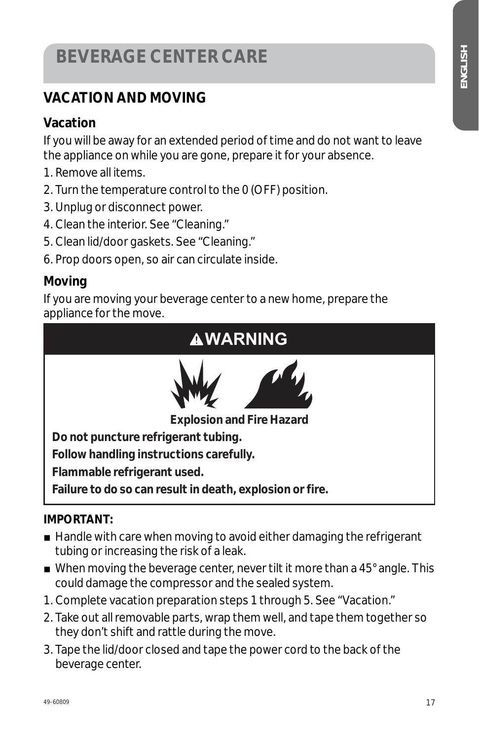# **BEVERAGE CENTER CARE**

#### **VACATION AND MOVING**

#### **Vacation**

If you will be away for an extended period of time and do not want to leave the appliance on while you are gone, prepare it for your absence.

- 1. Remove all items.
- 2. Turn the temperature control to the 0 (OFF) position.
- 3. Unplug or disconnect power.
- 4. Clean the interior. See "Cleaning."
- 5. Clean lid/door gaskets. See "Cleaning."
- 6. Prop doors open, so air can circulate inside.

#### **Moving**

If you are moving your beverage center to a new home, prepare the appliance for the move.



#### **IMPORTANT:**

- $\blacksquare$  Handle with care when moving to avoid either damaging the refrigerant tubing or increasing the risk of a leak.
- $\blacksquare$  When moving the beverage center, never tilt it more than a 45 $^\circ$  angle. This could damage the compressor and the sealed system.
- 1. Complete vacation preparation steps 1 through 5. See "Vacation."
- 2. Take out all removable parts, wrap them well, and tape them together so they don't shift and rattle during the move.
- 3. Tape the lid/door closed and tape the power cord to the back of the beverage center.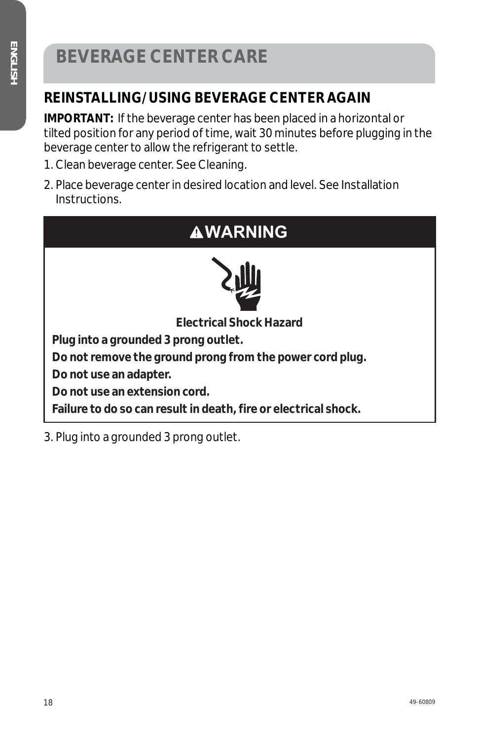# **BEVERAGE CENTER CARE**

#### **REINSTALLING/USING BEVERAGE CENTER AGAIN**

**IMPORTANT:** If the beverage center has been placed in a horizontal or tilted position for any period of time, wait 30 minutes before plugging in the beverage center to allow the refrigerant to settle.

- 1. Clean beverage center. See Cleaning.
- 2. Place beverage center in desired location and level. See Installation Instructions.

#### **WARNING**



**Electrical Shock Hazard**

**Plug into a grounded 3 prong outlet.** 

**Do not remove the ground prong from the power cord plug.** 

**Do not use an adapter.** 

**Do not use an extension cord.** 

**Failure to do so can result in death, fire or electrical shock.** 

3. Plug into a grounded 3 prong outlet.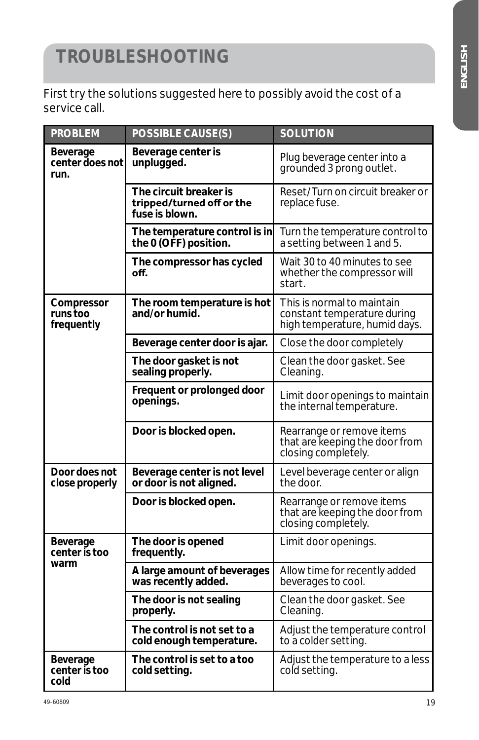# **TROUBLESHOOTING**

First try the solutions suggested here to possibly avoid the cost of a service call.

| <b>PROBLEM</b>                           | <b>POSSIBLE CAUSE(S)</b>                                              | <b>SOLUTION</b>                                                                            |
|------------------------------------------|-----------------------------------------------------------------------|--------------------------------------------------------------------------------------------|
| Beverage<br>center does not<br>run.      | Beverage center is<br>unplugged.                                      | Plug beverage center into a<br>grounded 3 prong outlet.                                    |
|                                          | The circuit breaker is<br>tripped/turned off or the<br>fuse is blown. | Reset/Turn on circuit breaker or<br>replace fuse.                                          |
|                                          | The temperature control is in<br>the 0 (OFF) position.                | Turn the temperature control to<br>a setting between 1 and 5.                              |
|                                          | The compressor has cycled<br>off.                                     | Wait 30 to 40 minutes to see<br>whether the compressor will<br>start.                      |
| Compressor<br>runs too<br>frequently     | The room temperature is hot<br>and/or humid.                          | This is normal to maintain<br>constant temperature during<br>high temperature, humid days. |
|                                          | Beverage center door is ajar.                                         | Close the door completely                                                                  |
|                                          | The door gasket is not<br>sealing properly.                           | Clean the door gasket. See<br>Cleaning.                                                    |
|                                          | Frequent or prolonged door<br>openings.                               | Limit door openings to maintain<br>the internal temperature.                               |
|                                          | Door is blocked open.                                                 | Rearrange or remove items<br>that are keeping the door from<br>closing completely.         |
| Door does not<br>close properly          | Beverage center is not level<br>or door is not aligned.               | Level beverage center or align<br>the door.                                                |
|                                          | Door is blocked open.                                                 | Rearrange or remove items<br>that are keeping the door from<br>closing completely.         |
| Beverage<br>center is too                | The door is opened<br>frequently.                                     | Limit door openings.                                                                       |
| warm                                     | A large amount of beverages<br>was recently added.                    | Allow time for recently added<br>beverages to cool.                                        |
|                                          | The door is not sealing<br>properly.                                  | Clean the door gasket. See<br>Cleaning.                                                    |
|                                          | The control is not set to a<br>cold enough temperature.               | Adjust the temperature control<br>to a colder setting.                                     |
| <b>Beverage</b><br>center is too<br>cold | The control is set to a too<br>cold setting.                          | Adjust the temperature to a less<br>cold setting.                                          |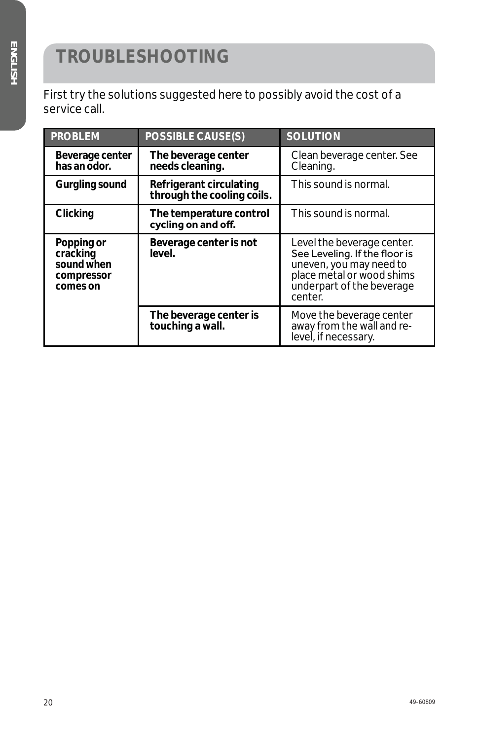# **TROUBLESHOOTING**

First try the solutions suggested here to possibly avoid the cost of a service call.

| <b>PROBLEM</b>                                                 | <b>POSSIBLE CAUSE(S)</b>                              | <b>SOLUTION</b>                                                                                                                                             |
|----------------------------------------------------------------|-------------------------------------------------------|-------------------------------------------------------------------------------------------------------------------------------------------------------------|
| Beverage center<br>has an odor.                                | The beverage center<br>needs cleaning.                | Clean beverage center. See<br>Cleaning.                                                                                                                     |
| <b>Gurgling sound</b>                                          | Refrigerant circulating<br>through the cooling coils. | This sound is normal.                                                                                                                                       |
| <b>Clicking</b>                                                | The temperature control<br>cycling on and off.        | This sound is normal.                                                                                                                                       |
| Popping or<br>cracking<br>sound when<br>compressor<br>comes on | Beverage center is not<br>level.                      | Level the beverage center.<br>See Leveling. If the floor is<br>uneven, you may need to<br>place metal or wood shims<br>underpart of the beverage<br>center. |
|                                                                | The beverage center is<br>touching a wall.            | Move the beverage center<br>away from the wall and re-<br>level, if necessary.                                                                              |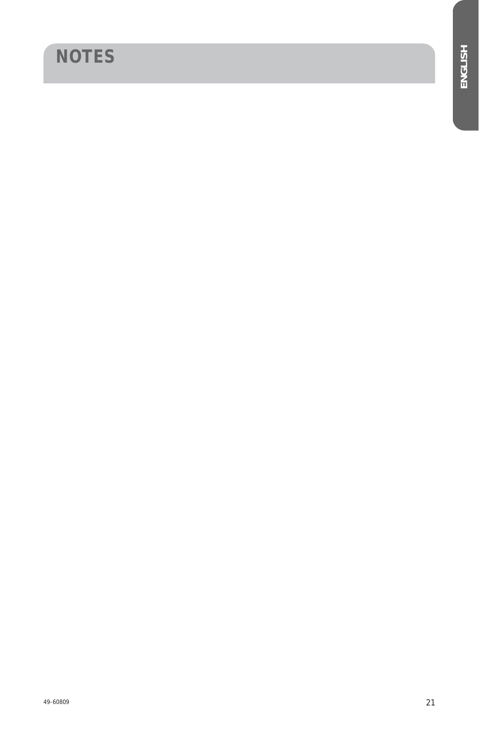# **NOTES**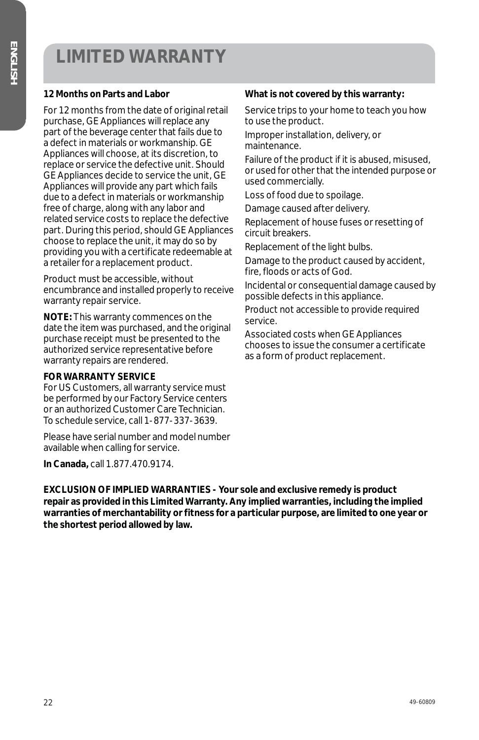## **LIMITED WARRANTY**

#### **12 Months on Parts and Labor**

For 12 months from the date of original retail purchase, GE Appliances will replace any part of the beverage center that fails due to a defect in materials or workmanship. GE Appliances will choose, at its discretion, to replace or service the defective unit. Should GE Appliances decide to service the unit, GE Appliances will provide any part which fails due to a defect in materials or workmanship free of charge, along with any labor and related service costs to replace the defective part. During this period, should GE Appliances choose to replace the unit, it may do so by providing you with a certificate redeemable at a retailer for a replacement product.

Product must be accessible, without encumbrance and installed properly to receive warranty repair service.

**NOTE:** This warranty commences on the date the item was purchased, and the original purchase receipt must be presented to the authorized service representative before warranty repairs are rendered.

#### **FOR WARRANTY SERVICE**

For US Customers, all warranty service must be performed by our Factory Service centers or an authorized Customer Care Technician. To schedule service, call 1-877-337-3639.

Please have serial number and model number available when calling for service.

**In Canada,** call 1.877.470.9174.

#### **What is not covered by this warranty:**

Service trips to your home to teach you how to use the product.

Improper installation, delivery, or maintenance.

Failure of the product if it is abused, misused, or used for other that the intended purpose or used commercially.

Loss of food due to spoilage.

Damage caused after delivery.

Replacement of house fuses or resetting of circuit breakers.

Replacement of the light bulbs.

Damage to the product caused by accident, fire, floods or acts of God.

Incidental or consequential damage caused by possible defects in this appliance.

Product not accessible to provide required service.

Associated costs when GE Appliances chooses to issue the consumer a certificate as a form of product replacement.

**EXCLUSION OF IMPLIED WARRANTIES - Your sole and exclusive remedy is product repair as provided in this Limited Warranty. Any implied warranties, including the implied warranties of merchantability or fitness for a particular purpose, are limited to one year or the shortest period allowed by law.**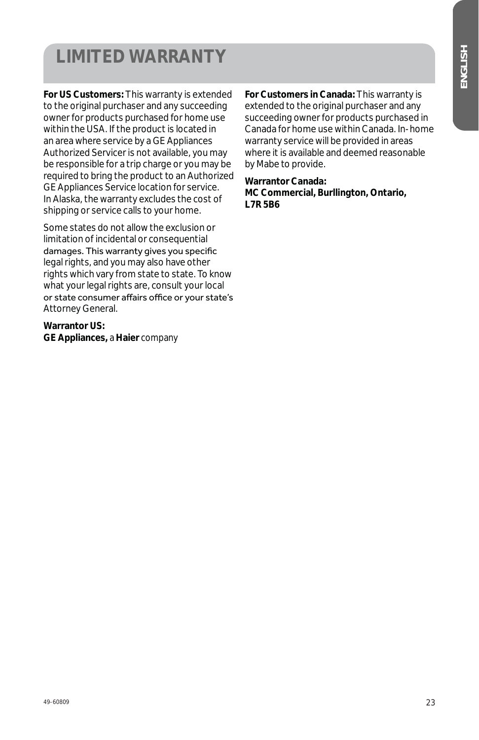# **LIMITED WARRANTY**

**For US Customers:** This warranty is extended to the original purchaser and any succeeding owner for products purchased for home use within the USA. If the product is located in an area where service by a GE Appliances Authorized Servicer is not available, you may be responsible for a trip charge or you may be required to bring the product to an Authorized GE Appliances Service location for service. In Alaska, the warranty excludes the cost of shipping or service calls to your home.

Some states do not allow the exclusion or limitation of incidental or consequential damages. This warranty gives you specific legal rights, and you may also have other rights which vary from state to state. To know what your legal rights are, consult your local or state consumer affairs office or your state's Attorney General.

**Warrantor US: GE Appliances,** *a* **Haier** *company*

**For Customers in Canada:** This warranty is extended to the original purchaser and any succeeding owner for products purchased in Canada for home use within Canada. In-home warranty service will be provided in areas where it is available and deemed reasonable by Mabe to provide.

**Warrantor Canada: MC Commercial, Burllington, Ontario, L7R 5B6**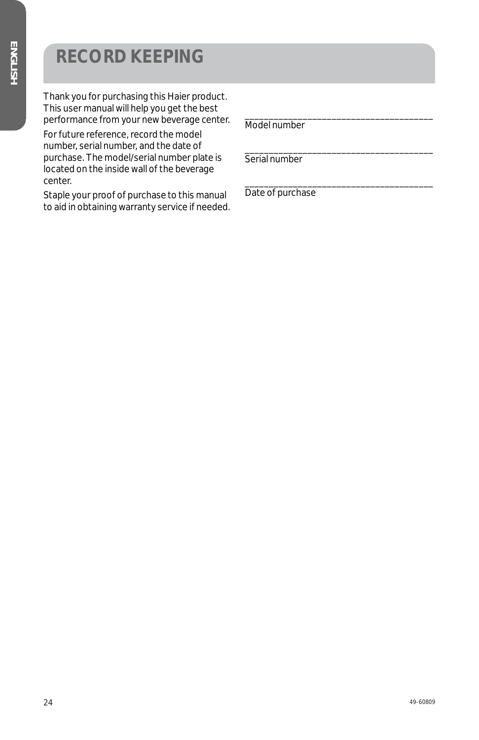# **RECORD KEEPING**

Thank you for purchasing this Haier product. This user manual will help you get the best performance from your new beverage center.

For future reference, record the model number, serial number, and the date of purchase. The model/serial number plate is located on the inside wall of the beverage center.

Staple your proof of purchase to this manual to aid in obtaining warranty service if needed. Model number

\_\_\_\_\_\_\_\_\_\_\_\_\_\_\_\_\_\_\_\_\_\_\_\_\_\_\_\_\_\_\_\_\_\_\_\_\_\_\_

\_\_\_\_\_\_\_\_\_\_\_\_\_\_\_\_\_\_\_\_\_\_\_\_\_\_\_\_\_\_\_\_\_\_\_\_\_\_\_

\_\_\_\_\_\_\_\_\_\_\_\_\_\_\_\_\_\_\_\_\_\_\_\_\_\_\_\_\_\_\_\_\_\_\_\_\_\_\_ Serial number

Date of purchase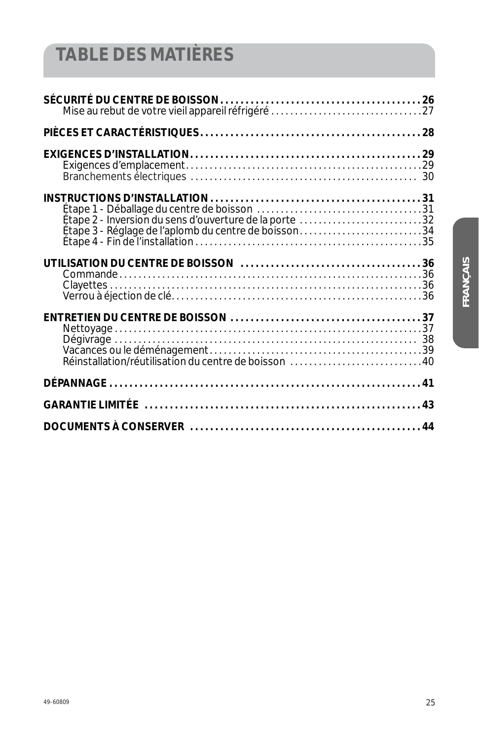# **TABLE DES MATIÈRES**

| Étape 2 - Inversion du sens d'ouverture de la porte 32 |    |
|--------------------------------------------------------|----|
|                                                        |    |
|                                                        |    |
|                                                        |    |
|                                                        | 43 |
|                                                        |    |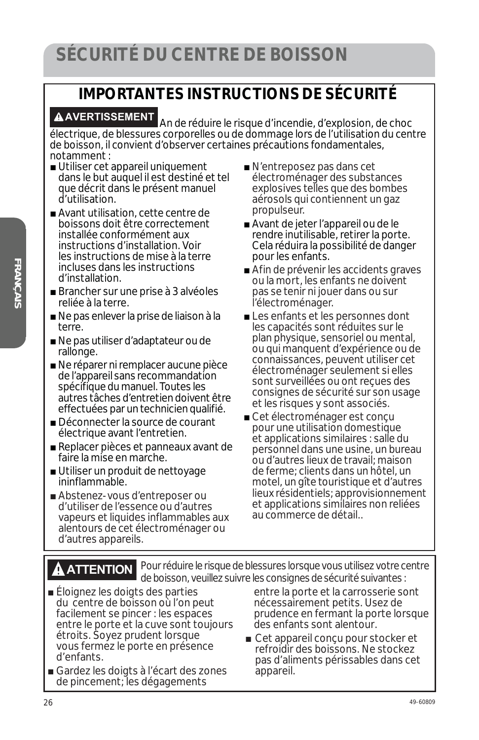#### **IMPORTANTES INSTRUCTIONS DE SÉCURITÉ**

**AVERTISSEMENT** An de réduire le risque d'incendie, d'explosion, de choc électrique, de blessures corporelles ou de dommage lors de l'utilisation du centre de boisson, il convient d'observer certaines précautions fondamentales, notamment :

- Utiliser cet appareil uniquement dans le but auquel il est destiné et tel que décrit dans le présent manuel d'utilisation.
- Avant utilisation, cette centre de boissons doit être correctement installée conformément aux instructions d'installation. Voir les instructions de mise à la terre incluses dans les instructions d'installation.
- Brancher sur une prise à 3 alvéoles reliée à la terre.
- Ne pas enlever la prise de liaison à la terre.
- Ne pas utiliser d'adaptateur ou de rallonge.
- Ne réparer ni remplacer aucune pièce de l'appareil sans recommandation spécifique du manuel. Toutes les autres tâches d'entretien doivent être effectuées par un technicien qualifié.
- Déconnecter la source de courant électrique avant l'entretien.
- Replacer pièces et panneaux avant de faire la mise en marche.
- Utiliser un produit de nettoyage ininflammable.
- Abstenez-vous d'entreposer ou d'utiliser de l'essence ou d'autres vapeurs et liquides inflammables aux alentours de cet électroménager ou d'autres appareils.
- $\blacksquare$  N'entreposez pas dans cet électroménager des substances explosives telles que des bombes aérosols qui contiennent un gaz propulseur.
- Avant de jeter l'appareil ou de le rendre inutilisable, retirer la porte. Cela réduira la possibilité de danger pour les enfants.
- Afin de prévenir les accidents graves ou la mort, les enfants ne doivent pas se tenir ni jouer dans ou sur l'électroménager.
- Les enfants et les personnes dont les capacités sont réduites sur le plan physique, sensoriel ou mental, ou qui manquent d'expérience ou de connaissances, peuvent utiliser cet électroménager seulement si elles sont surveillées ou ont reçues des consignes de sécurité sur son usage et les risques y sont associés.
- Cet électroménager est conçu pour une utilisation domestique et applications similaires : salle du personnel dans une usine, un bureau ou d'autres lieux de travail; maison de ferme; clients dans un hôtel, un motel, un gîte touristique et d'autres lieux résidentiels; approvisionnement et applications similaires non reliées au commerce de détail..

**ATTENTION** Pour réduire le risque de blessures lorsque vous utilisez votre centre de boisson, veuillez suivre les consignes de sécurité suivantes :

- Éloignez les doigts des parties du centre de boisson où l'on peut facilement se pincer : les espaces entre le porte et la cuve sont toujours étroits. Soyez prudent lorsque vous fermez le porte en présence d'enfants.
- Gardez les doigts à l'écart des zones de pincement; les dégagements

entre la porte et la carrosserie sont nécessairement petits. Usez de prudence en fermant la porte lorsque des enfants sont alentour.

■ Cet appareil conçu pour stocker et refroidir des boissons. Ne stockez pas d'aliments périssables dans cet appareil.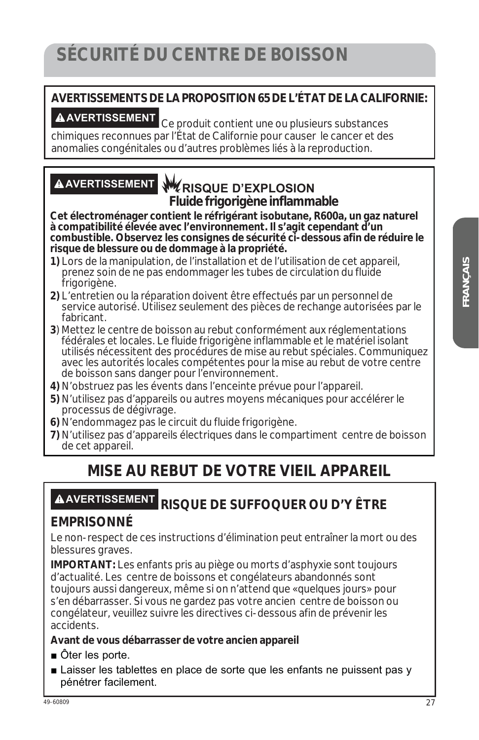### **SÉCURITÉ DU CENTRE DE BOISSON**

# **AVERTISSEMENTS DE LA PROPOSITION 65 DE L'ÉTAT DE LA CALIFORNIE:**

**AVERTISSEMENT** Ce produit contient une ou plusieurs substances chimiques reconnues par l'État de Californie pour causer le cancer et des anomalies congénitales ou d'autres problèmes liés à la reproduction.

#### **AVERTISSEMENT RISQUE D'EXPLOSION Fluide frigorigène inflammable**

**Cet électroménager contient le réfrigérant isobutane, R600a, un gaz naturel à compatibilité élevée avec l'environnement. Il s'agit cependant d'un combustible. Observez les consignes de sécurité ci-dessous afin de réduire le risque de blessure ou de dommage à la propriété.**

- **1)** Lors de la manipulation, de l'installation et de l'utilisation de cet appareil, prenez soin de ne pas endommager les tubes de circulation du fluide frigorigène.
- **2)** L'entretien ou la réparation doivent être effectués par un personnel de service autorisé. Utilisez seulement des pièces de rechange autorisées par le fabricant.
- **3**) Mettez le centre de boisson au rebut conformément aux réglementations fédérales et locales. Le fluide frigorigène inflammable et le matériel isolant utilisés nécessitent des procédures de mise au rebut spéciales. Communiquez avec les autorités locales compétentes pour la mise au rebut de votre centre de boisson sans danger pour l'environnement.
- **4)** N'obstruez pas les évents dans l'enceinte prévue pour l'appareil.
- **5)** N'utilisez pas d'appareils ou autres moyens mécaniques pour accélérer le processus de dégivrage.
- **6)** N'endommagez pas le circuit du fluide frigorigène.
- **7)** N'utilisez pas d'appareils électriques dans le compartiment centre de boisson de cet appareil.

#### **MISE AU REBUT DE VOTRE VIEIL APPAREIL**

#### **AVERTISSEMENT RISQUE DE SUFFOQUER OU D'Y ÊTRE**

#### **EMPRISONNÉ**

Le non-respect de ces instructions d'élimination peut entraîner la mort ou des blessures graves.

**IMPORTANT:** Les enfants pris au piège ou morts d'asphyxie sont toujours d'actualité. Les centre de boissons et congélateurs abandonnés sont toujours aussi dangereux, même si on n'attend que «quelques jours» pour s'en débarrasser. Si vous ne gardez pas votre ancien centre de boisson ou congélateur, veuillez suivre les directives ci-dessous afin de prévenir les accidents.

#### **Avant de vous débarrasser de votre ancien appareil**

- $\blacksquare$  Öter les porte.
- **E** Laisser les tablettes en place de sorte que les enfants ne puissent pas y pénétrer facilement.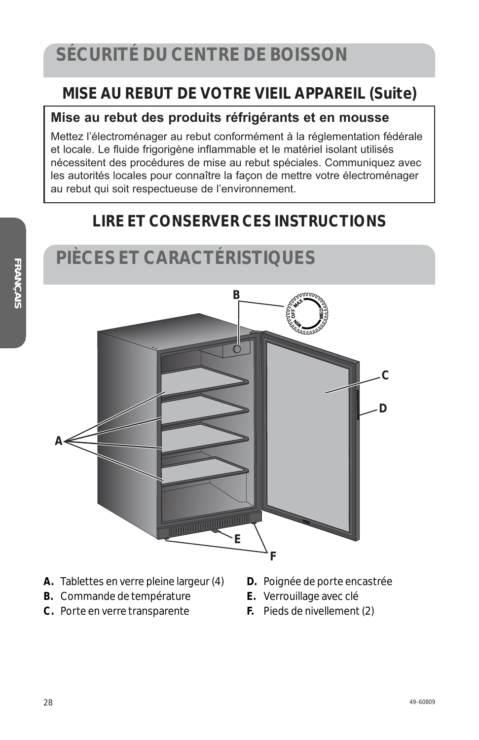**PIÈCES ET CARACTÉRISTIQUES** 

#### **MISE AU REBUT DE VOTRE VIEIL APPAREIL (Suite)**

#### **Mise au rebut des produits réfrigérants et en mousse**

Mettez l'électroménager au rebut conformément à la réglementation fédérale et locale. Le fluide frigorigène inflammable et le matériel isolant utilisés nécessitent des procédures de mise au rebut spéciales. Communiquez avec les autorités locales pour connaître la façon de mettre votre électroménager au rebut qui soit respectueuse de l'environnement.

#### **LIRE ET CONSERVER CES INSTRUCTIONS**

# **B A F E C D**

- **A.** Tablettes en verre pleine largeur (4)
- **B.** Commande de température
- **C.** Porte en verre transparente
- **D.** Poignée de porte encastrée
- **E.** Verrouillage avec clé
- **F.** Pieds de nivellement (2)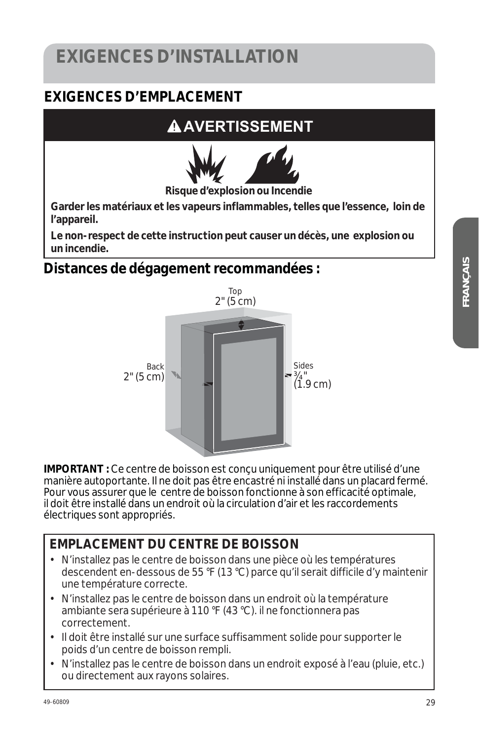# **EXIGENCES D'INSTALLATION**

#### **EXIGENCES D'EMPLACEMENT**

# **A AVERTISSEMENT**



**Garder les matériaux et les vapeurs inflammables, telles que l'essence, loin de l'appareil.** 

**Le non-respect de cette instruction peut causer un décès, une explosion ou un incendie.** 

#### **Distances de dégagement recommandées :**



**IMPORTANT :** Ce centre de boisson est conçu uniquement pour être utilisé d'une manière autoportante. Il ne doit pas être encastré ni installé dans un placard fermé. Pour vous assurer que le centre de boisson fonctionne à son efficacité optimale, il doit être installé dans un endroit où la circulation d'air et les raccordements électriques sont appropriés.

#### **EMPLACEMENT DU CENTRE DE BOISSON**

- N'installez pas le centre de boisson dans une pièce où les températures descendent en-dessous de 55 °F (13 °C) parce qu'il serait difficile d'y maintenir une température correcte.
- N'installez pas le centre de boisson dans un endroit où la température ambiante sera supérieure à 110 °F (43 °C). il ne fonctionnera pas correctement.
- Il doit être installé sur une surface suffisamment solide pour supporter le poids d'un centre de boisson rempli.
- N'installez pas le centre de boisson dans un endroit exposé à l'eau (pluie, etc.) ou directement aux rayons solaires.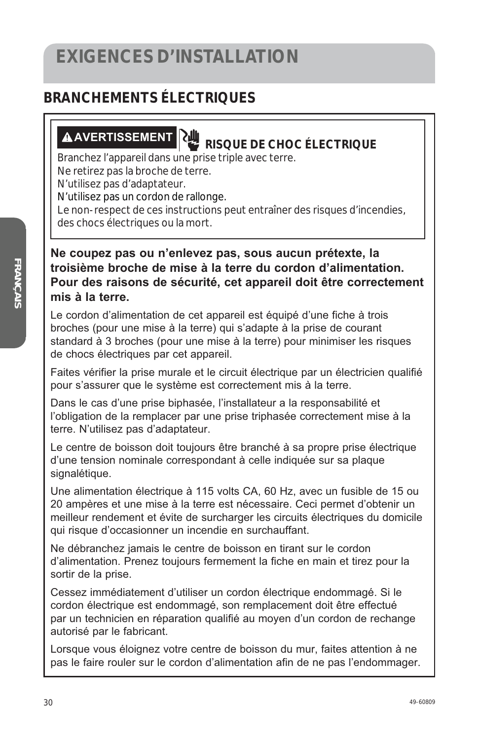#### **BRANCHEMENTS ÉLECTRIQUES**

# **AVERTISSEMENT RISQUE DE CHOC ÉLECTRIQUE**

Branchez l'appareil dans une prise triple avec terre.

Ne retirez pas la broche de terre.

N'utilisez pas d'adaptateur.

N'utilisez pas un cordon de rallonge.

Le non-respect de ces instructions peut entraîner des risques d'incendies, des chocs électriques ou la mort.

#### **Ne coupez pas ou n'enlevez pas, sous aucun prétexte, la troisième broche de mise à la terre du cordon d'alimentation. Pour des raisons de sécurité, cet appareil doit être correctement mis à la terre.**

Le cordon d'alimentation de cet appareil est équipé d'une fiche à trois broches (pour une mise à la terre) qui s'adapte à la prise de courant standard à 3 broches (pour une mise à la terre) pour minimiser les risques de chocs électriques par cet appareil.

Faites vérifier la prise murale et le circuit électrique par un électricien qualifié pour s'assurer que le système est correctement mis à la terre.

Dans le cas d'une prise biphasée, l'installateur a la responsabilité et l'obligation de la remplacer par une prise triphasée correctement mise à la terre. N'utilisez pas d'adaptateur.

Le centre de boisson doit toujours être branché à sa propre prise électrique d'une tension nominale correspondant à celle indiquée sur sa plaque signalétique.

Une alimentation électrique à 115 volts CA, 60 Hz, avec un fusible de 15 ou 20 ampères et une mise à la terre est nécessaire. Ceci permet d'obtenir un meilleur rendement et évite de surcharger les circuits électriques du domicile qui risque d'occasionner un incendie en surchauffant.

Ne débranchez jamais le centre de boisson en tirant sur le cordon d'alimentation. Prenez toujours fermement la fiche en main et tirez pour la sortir de la prise.

Cessez immédiatement d'utiliser un cordon électrique endommagé. Si le cordon électrique est endommagé, son remplacement doit être effectué par un technicien en réparation qualifié au moyen d'un cordon de rechange autorisé par le fabricant.

Lorsque vous éloignez votre centre de boisson du mur, faites attention à ne pas le faire rouler sur le cordon d'alimentation afin de ne pas l'endommager.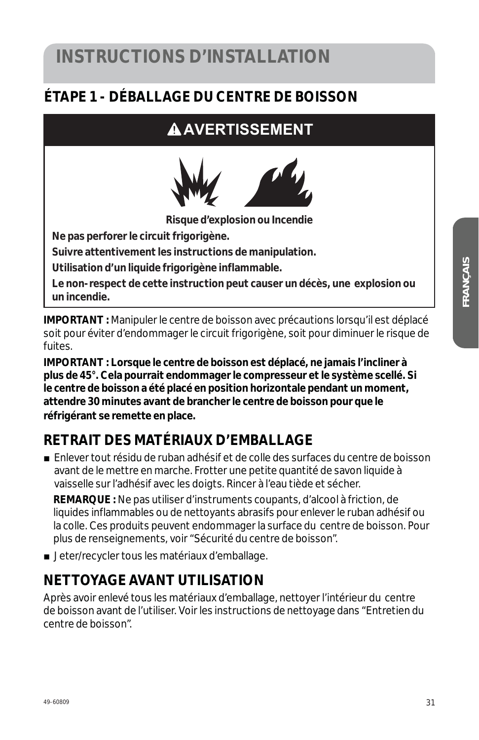# **INSTRUCTIONS D'INSTALLATION**

#### **ÉTAPE 1 - DÉBALLAGE DU CENTRE DE BOISSON**

## **AAVERTISSEMENT**



**Risque d'explosion ou Incendie** 

**Ne pas perforer le circuit frigorigène.** 

**Suivre attentivement les instructions de manipulation.** 

**Utilisation d'un liquide frigorigène inflammable.** 

**Le non-respect de cette instruction peut causer un décès, une explosion ou un incendie.** 

**IMPORTANT :** Manipuler le centre de boisson avec précautions lorsqu'il est déplacé soit pour éviter d'endommager le circuit frigorigène, soit pour diminuer le risque de fuites.

**IMPORTANT : Lorsque le centre de boisson est déplacé, ne jamais l'incliner à plus de 45°. Cela pourrait endommager le compresseur et le système scellé. Si le centre de boisson a été placé en position horizontale pendant un moment, attendre 30 minutes avant de brancher le centre de boisson pour que le réfrigérant se remette en place.** 

#### **RETRAIT DES MATÉRIAUX D'EMBALLAGE**

■ Enlever tout résidu de ruban adhésif et de colle des surfaces du centre de boisson avant de le mettre en marche. Frotter une petite quantité de savon liquide à vaisselle sur l'adhésif avec les doigts. Rincer à l'eau tiède et sécher.

 **REMARQUE :** Ne pas utiliser d'instruments coupants, d'alcool à friction, de liquides inflammables ou de nettoyants abrasifs pour enlever le ruban adhésif ou la colle. Ces produits peuvent endommager la surface du centre de boisson. Pour plus de renseignements, voir "Sécurité du centre de boisson".

■ Jeter/recycler tous les matériaux d'emballage.

#### **NETTOYAGE AVANT UTILISATION**

Après avoir enlevé tous les matériaux d'emballage, nettoyer l'intérieur du centre de boisson avant de l'utiliser. Voir les instructions de nettoyage dans "Entretien du centre de boisson".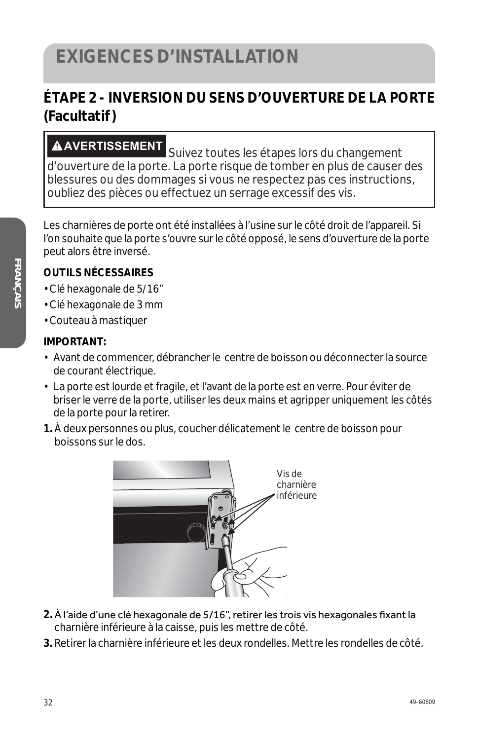#### **ÉTAPE 2 - INVERSION DU SENS D'OUVERTURE DE LA PORTE (Facultatif )**

**AVERTISSEMENT** Suivez toutes les étapes lors du changement d'ouverture de la porte. La porte risque de tomber en plus de causer des blessures ou des dommages si vous ne respectez pas ces instructions, oubliez des pièces ou effectuez un serrage excessif des vis.

Les charnières de porte ont été installées à l'usine sur le côté droit de l'appareil. Si l'on souhaite que la porte s'ouvre sur le côté opposé, le sens d'ouverture de la porte peut alors être inversé.

#### **OUTILS NÉCESSAIRES**

- Clé hexagonale de 5/16"
- Clé hexagonale de 3 mm
- Couteau à mastiquer

#### **IMPORTANT:**

- Avant de commencer, débrancher le centre de boisson ou déconnecter la source de courant électrique.
- La porte est lourde et fragile, et l'avant de la porte est en verre. Pour éviter de briser le verre de la porte, utiliser les deux mains et agripper uniquement les côtés de la porte pour la retirer.
- **1.** À deux personnes ou plus, coucher délicatement le centre de boisson pour boissons sur le dos.



- **2.** À l'aide d'une clé hexagonale de 5/16", retirer les trois vis hexagonales fixant la charnière inférieure à la caisse, puis les mettre de côté.
- **3.** Retirer la charnière inférieure et les deux rondelles. Mettre les rondelles de côté.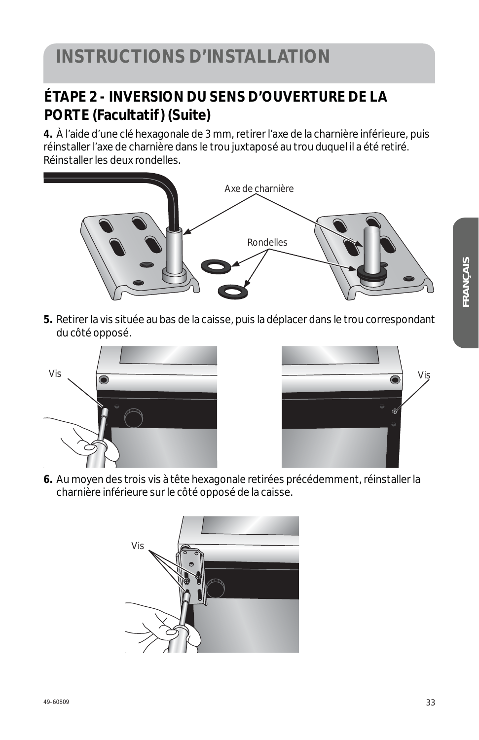#### **ÉTAPE 2 - INVERSION DU SENS D'OUVERTURE DE LA PORTE (Facultatif ) (Suite)**

**4.** À l'aide d'une clé hexagonale de 3 mm, retirer l'axe de la charnière inférieure, puis réinstaller l'axe de charnière dans le trou juxtaposé au trou duquel il a été retiré. Réinstaller les deux rondelles.



**5.** Retirer la vis située au bas de la caisse, puis la déplacer dans le trou correspondant du côté opposé.





**6.** Au moyen des trois vis à tête hexagonale retirées précédemment, réinstaller la charnière inférieure sur le côté opposé de la caisse.

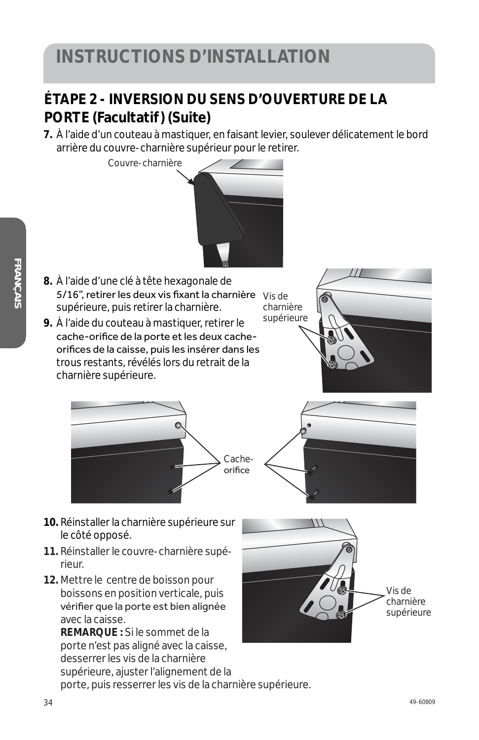# **INSTRUCTIONS D'INSTALLATION**

#### **ÉTAPE 2 - INVERSION DU SENS D'OUVERTURE DE LA PORTE** (Facultatif) (Suite)

**7.** À l'aide d'un couteau à mastiquer, en faisant levier, soulever délicatement le bord arrière du couvre-charnière supérieur pour le retirer.



*FRANÇAIS* 

- 
- **10.** Réinstaller la charnière supérieure sur le côté opposé.
- **11.** Réinstaller le couvre-charnière supérieur.
- **12.** Mettre le centre de boisson pour boissons en position verticale, puis vérifier que la porte est bien alignée avec la caisse.

**REMARQUE :** Si le sommet de la porte n'est pas aligné avec la caisse, desserrer les vis de la charnière supérieure, ajuster l'alignement de la

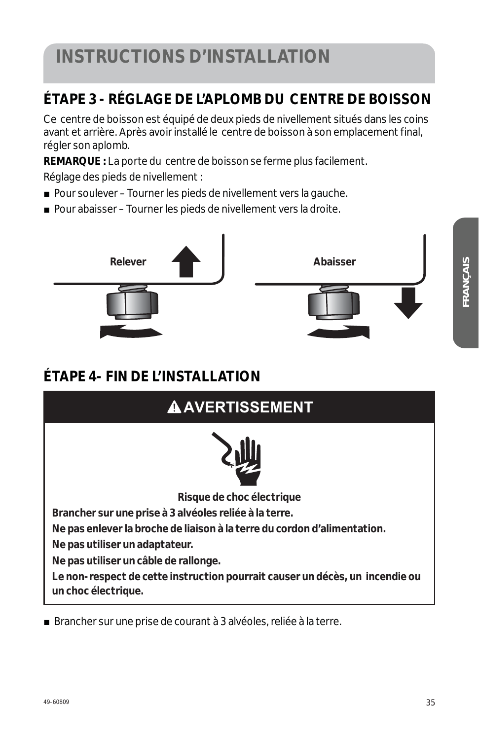# **INSTRUCTIONS D'INSTALLATION**

#### **ÉTAPE 3 - RÉGLAGE DE L'APLOMB DU CENTRE DE BOISSON**

Ce centre de boisson est équipé de deux pieds de nivellement situés dans les coins avant et arrière. Après avoir installé le centre de boisson à son emplacement final, régler son aplomb.

**REMARQUE :** La porte du centre de boisson se ferme plus facilement.

Réglage des pieds de nivellement :

- Pour soulever Tourner les pieds de nivellement vers la gauche.
- Pour abaisser Tourner les pieds de nivellement vers la droite.



#### **ÉTAPE 4- FIN DE L'INSTALLATION**

| <b>AAVERTISSEMENT</b>                                                                               |  |  |  |  |
|-----------------------------------------------------------------------------------------------------|--|--|--|--|
|                                                                                                     |  |  |  |  |
| Risque de choc électrique                                                                           |  |  |  |  |
| Brancher sur une prise à 3 alvéoles reliée à la terre.                                              |  |  |  |  |
| Ne pas enlever la broche de liaison à la terre du cordon d'alimentation.                            |  |  |  |  |
| Ne pas utiliser un adaptateur.                                                                      |  |  |  |  |
| Ne pas utiliser un câble de rallonge.                                                               |  |  |  |  |
| Le non-respect de cette instruction pourrait causer un décès, un incendie ou<br>un choc électrique. |  |  |  |  |

Brancher sur une prise de courant à 3 alvéoles, reliée à la terre.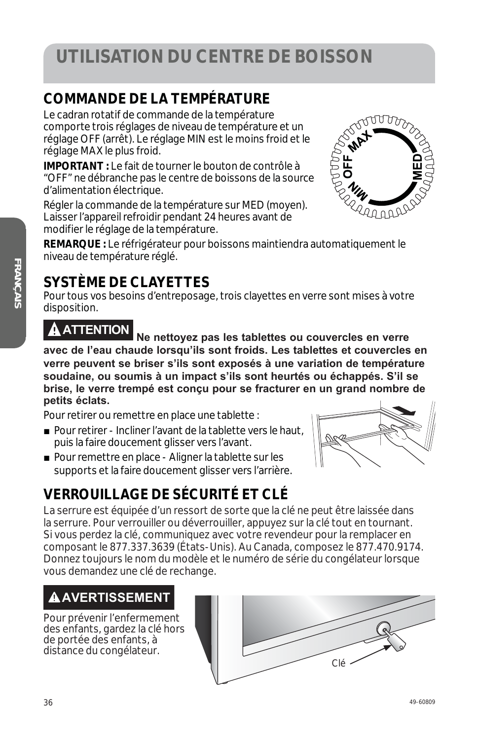# **UTILISATION DU CENTRE DE BOISSON**

#### **COMMANDE DE LA TEMPÉRATURE**

Le cadran rotatif de commande de la température comporte trois réglages de niveau de température et un réglage OFF (arrêt). Le réglage MIN est le moins froid et le réglage MAX le plus froid.

**IMPORTANT :** Le fait de tourner le bouton de contrôle à "OFF" ne débranche pas le centre de boissons de la source d'alimentation électrique.

Régler la commande de la température sur MED (moyen). Laisser l'appareil refroidir pendant 24 heures avant de modifier le réglage de la température.

**REMARQUE :** Le réfrigérateur pour boissons maintiendra automatiquement le niveau de température réglé.

#### **SYSTÈME DE CLAYETTES**

Pour tous vos besoins d'entreposage, trois clayettes en verre sont mises à votre disposition.

**ATTENTION Ne nettoyez pas les tablettes ou couvercles en verre avec de l'eau chaude lorsqu'ils sont froids. Les tablettes et couvercles en verre peuvent se briser s'ils sont exposés à une variation de température soudaine, ou soumis à un impact s'ils sont heurtés ou échappés. S'il se brise, le verre trempé est conçu pour se fracturer en un grand nombre de petits éclats.** 

Pour retirer ou remettre en place une tablette :

- Pour retirer Incliner l'avant de la tablette vers le haut, puis la faire doucement glisser vers l'avant.
- Pour remettre en place Aligner la tablette sur les supports et la faire doucement glisser vers l'arrière.

#### **VERROUILLAGE DE SÉCURITÉ ET CLÉ**

La serrure est équipée d'un ressort de sorte que la clé ne peut être laissée dans la serrure. Pour verrouiller ou déverrouiller, appuyez sur la clé tout en tournant. Si vous perdez la clé, communiquez avec votre revendeur pour la remplacer en composant le 877.337.3639 (États-Unis). Au Canada, composez le 877.470.9174. Donnez toujours le nom du modèle et le numéro de série du congélateur lorsque vous demandez une clé de rechange.

#### **AVERTISSEMENT**

Pour prévenir l'enfermement des enfants, gardez la clé hors de portée des enfants, à distance du congélateur.





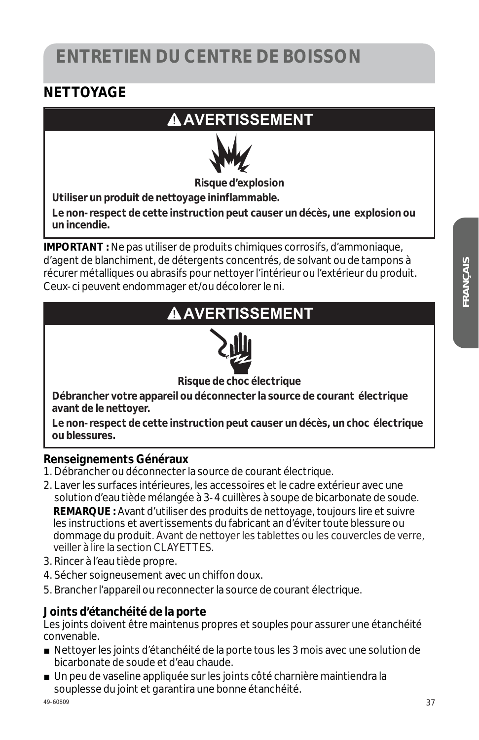# **ENTRETIEN DU CENTRE DE BOISSON**

#### **NETTOYAGE**

#### **AAVERTISSEMENT**



**Risque d'explosion** 

**Utiliser un produit de nettoyage ininflammable.** 

**Le non-respect de cette instruction peut causer un décès, une explosion ou un incendie.** 

**IMPORTANT :** Ne pas utiliser de produits chimiques corrosifs, d'ammoniaque, d'agent de blanchiment, de détergents concentrés, de solvant ou de tampons à récurer métalliques ou abrasifs pour nettoyer l'intérieur ou l'extérieur du produit. Ceux-ci peuvent endommager et/ou décolorer le ni.

#### **AAVERTISSEMENT**



**Risque de choc électrique** 

**Débrancher votre appareil ou déconnecter la source de courant électrique avant de le nettoyer.** 

**Le non-respect de cette instruction peut causer un décès, un choc électrique ou blessures.** 

#### **Renseignements Généraux**

- 1. Débrancher ou déconnecter la source de courant électrique.
- 2. Laver les surfaces intérieures, les accessoires et le cadre extérieur avec une solution d'eau tiède mélangée à 3-4 cuillères à soupe de bicarbonate de soude. **REMARQUE :** Avant d'utiliser des produits de nettoyage, toujours lire et suivre les instructions et avertissements du fabricant an d'éviter toute blessure ou dommage du produit. Avant de nettoyer les tablettes ou les couvercles de verre, veiller à lire la section CLAYETTES.
- 3. Rincer à l'eau tiède propre.
- 4. Sécher soigneusement avec un chiffon doux.
- 5. Brancher l'appareil ou reconnecter la source de courant électrique.

#### **Joints d'étanchéité de la porte**

Les joints doivent être maintenus propres et souples pour assurer une étanchéité convenable.

- Nettoyer les joints d'étanchéité de la porte tous les 3 mois avec une solution de bicarbonate de soude et d'eau chaude.
- Un peu de vaseline appliquée sur les joints côté charnière maintiendra la souplesse du joint et garantira une bonne étanchéité.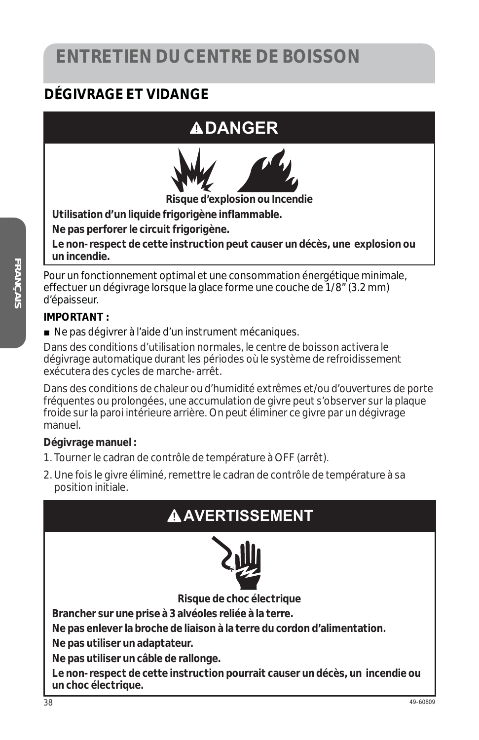# **ENTRETIEN DU CENTRE DE BOISSON**

#### **DÉGIVRAGE ET VIDANGE**

## **DANGER**



**Risque d'explosion ou Incendie**

**Utilisation d'un liquide frigorigène inflammable.** 

**Ne pas perforer le circuit frigorigène.** 

**Le non-respect de cette instruction peut causer un décès, une explosion ou un incendie.** 

Pour un fonctionnement optimal et une consommation énergétique minimale, effectuer un dégivrage lorsque la glace forme une couche de 1/8" (3.2 mm) d'épaisseur.

#### **IMPORTANT :**

■ Ne pas dégivrer à l'aide d'un instrument mécaniques.

Dans des conditions d'utilisation normales, le centre de boisson activera le dégivrage automatique durant les périodes où le système de refroidissement exécutera des cycles de marche-arrêt.

Dans des conditions de chaleur ou d'humidité extrêmes et/ou d'ouvertures de porte fréquentes ou prolongées, une accumulation de givre peut s'observer sur la plaque froide sur la paroi intérieure arrière. On peut éliminer ce givre par un dégivrage manuel.

#### **Dégivrage manuel :**

- 1. Tourner le cadran de contrôle de température à OFF (arrêt).
- 2. Une fois le givre éliminé, remettre le cadran de contrôle de température à sa position initiale.

#### **AVERTISSEMENT**



**Risque de choc électrique** 

**Brancher sur une prise à 3 alvéoles reliée à la terre.** 

**Ne pas enlever la broche de liaison à la terre du cordon d'alimentation.** 

**Ne pas utiliser un adaptateur.** 

**Ne pas utiliser un câble de rallonge.** 

**Le non-respect de cette instruction pourrait causer un décès, un incendie ou un choc électrique.**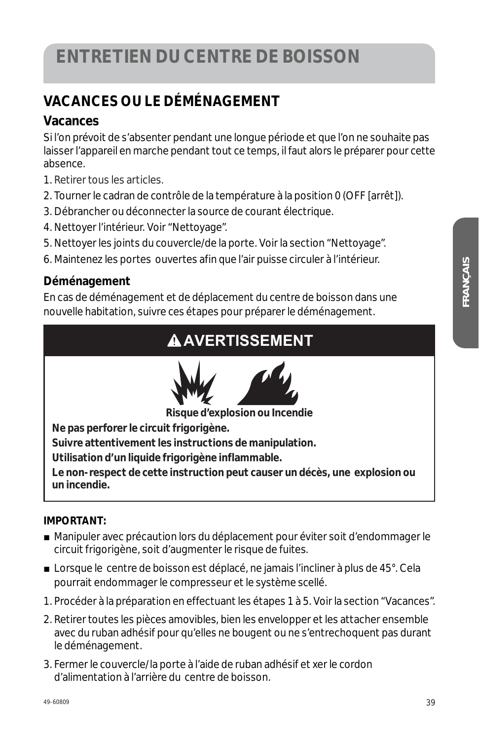#### **VACANCES OU LE DÉMÉNAGEMENT**

#### **Vacances**

Si l'on prévoit de s'absenter pendant une longue période et que l'on ne souhaite pas laisser l'appareil en marche pendant tout ce temps, il faut alors le préparer pour cette absence.

- 1. Retirer tous les articles.
- 2. Tourner le cadran de contrôle de la température à la position 0 (OFF [arrêt]).
- 3. Débrancher ou déconnecter la source de courant électrique.
- 4. Nettoyer l'intérieur. Voir "Nettoyage".
- 5. Nettoyer les joints du couvercle/de la porte. Voir la section "Nettoyage".
- 6. Maintenez les portes ouvertes afin que l'air puisse circuler à l'intérieur.

#### **Déménagement**

En cas de déménagement et de déplacement du centre de boisson dans une nouvelle habitation, suivre ces étapes pour préparer le déménagement.

### **AAVERTISSEMENT**



**Risque d'explosion ou Incendie** 

**Ne pas perforer le circuit frigorigène.** 

**Suivre attentivement les instructions de manipulation.** 

**Utilisation d'un liquide frigorigène inflammable.** 

**Le non-respect de cette instruction peut causer un décès, une explosion ou un incendie.** 

#### **IMPORTANT:**

- Manipuler avec précaution lors du déplacement pour éviter soit d'endommager le circuit frigorigène, soit d'augmenter le risque de fuites.
- Lorsque le centre de boisson est déplacé, ne jamais l'incliner à plus de 45°. Cela pourrait endommager le compresseur et le système scellé.
- 1. Procéder à la préparation en effectuant les étapes 1 à 5. Voir la section "Vacances".
- 2. Retirer toutes les pièces amovibles, bien les envelopper et les attacher ensemble avec du ruban adhésif pour qu'elles ne bougent ou ne s'entrechoquent pas durant le déménagement.
- 3. Fermer le couvercle/la porte à l'aide de ruban adhésif et xer le cordon d'alimentation à l'arrière du centre de boisson.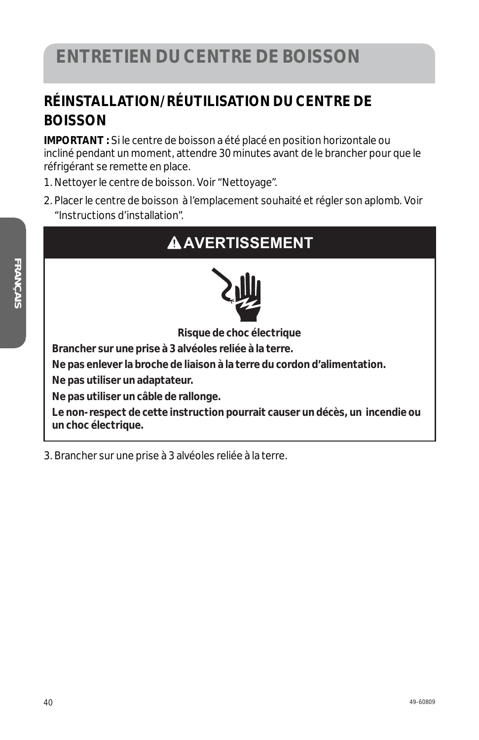#### **RÉINSTALLATION/RÉUTILISATION DU CENTRE DE BOISSON**

**IMPORTANT :** Si le centre de boisson a été placé en position horizontale ou incliné pendant un moment, attendre 30 minutes avant de le brancher pour que le réfrigérant se remette en place.

- 1. Nettoyer le centre de boisson. Voir "Nettoyage".
- 2. Placer le centre de boisson à l'emplacement souhaité et régler son aplomb. Voir "Instructions d'installation".

# **AAVERTISSEMENT**



**Risque de choc électrique** 

**Brancher sur une prise à 3 alvéoles reliée à la terre.** 

**Ne pas enlever la broche de liaison à la terre du cordon d'alimentation.** 

**Ne pas utiliser un adaptateur.** 

**Ne pas utiliser un câble de rallonge.** 

**Le non-respect de cette instruction pourrait causer un décès, un incendie ou un choc électrique.** 

3. Brancher sur une prise à 3 alvéoles reliée à la terre.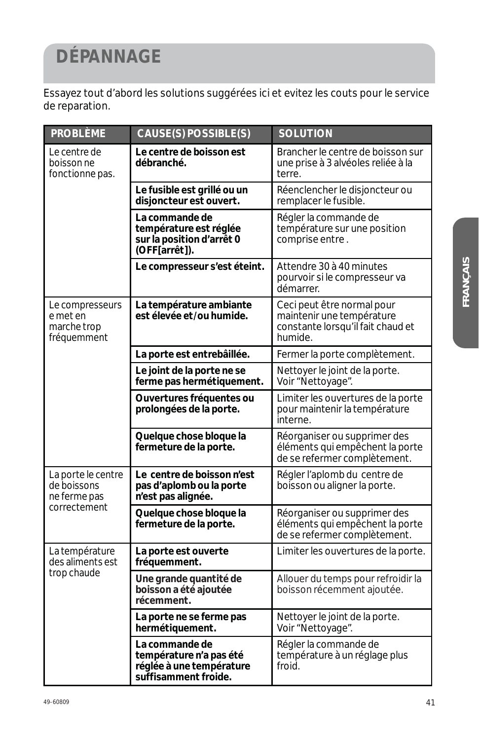# **DÉPANNAGE**

Essayez tout d'abord les solutions suggérées ici et evitez les couts pour le service de reparation.

| <b>PROBLÈME</b>                                                  | <b>CAUSE(S) POSSIBLE(S)</b>                                                                   | <b>SOLUTION</b>                                                                                         |
|------------------------------------------------------------------|-----------------------------------------------------------------------------------------------|---------------------------------------------------------------------------------------------------------|
| <i>Le centre de</i><br>boisson ne<br>fonctionne pas.             | Le centre de boisson est<br>débranché.                                                        | Brancher le centre de boisson sur<br>une prise à 3 alvéoles reliée à la<br>terre.                       |
|                                                                  | Le fusible est grillé ou un<br>disjoncteur est ouvert.                                        | Réenclencher le disjoncteur ou<br>remplacer le fusible.                                                 |
|                                                                  | La commande de<br>température est réglée<br>sur la position d'arrêt 0<br>(OFF[arrêt]).        | Régler la commande de<br>température sur une position<br>comprise entre.                                |
|                                                                  | Le compresseur s'est éteint.                                                                  | Attendre 30 à 40 minutes<br>pourvoir si le compresseur va<br>démarrer.                                  |
| <i>Le compresseurs</i><br>e met en<br>marche trop<br>fréquemment | La température ambiante<br>est élevée et/ou humide.                                           | Ceci peut être normal pour<br>maintenir une température<br>constante lorsqu'il fait chaud et<br>humide. |
|                                                                  | La porte est entrebâillée.                                                                    | Fermer la porte complètement.                                                                           |
|                                                                  | Le joint de la porte ne se<br>ferme pas hermétiquement.                                       | Nettoyer le joint de la porte.<br>Voir "Nettoyage".                                                     |
|                                                                  | Ouvertures fréquentes ou<br>prolongées de la porte.                                           | Limiter les ouvertures de la porte<br>pour maintenir la température<br>interne.                         |
|                                                                  | Quelque chose bloque la<br>fermeture de la porte.                                             | Réorganiser ou supprimer des<br>éléments qui empêchent la porte<br>de se refermer complètement.         |
| La porte le centre<br>de boissons<br>ne ferme pas                | Le centre de boisson n'est<br>pas d'aplomb ou la porte<br>n'est pas alignée.                  | Régler l'aplomb du centre de<br>boisson ou aligner la porte.                                            |
| correctement                                                     | Quelque chose bloque la<br>fermeture de la porte.                                             | Réorganiser ou supprimer des<br>éléments qui empêchent la porte<br>de se refermer complètement.         |
| La température<br>des aliments est<br>trop chaude                | La porte est ouverte<br>fréquemment.                                                          | Limiter les ouvertures de la porte.                                                                     |
|                                                                  | Une grande quantité de<br>boisson a été ajoutée<br>récemment.                                 | Allouer du temps pour refroidir la<br>boisson récemment ajoutée.                                        |
|                                                                  | La porte ne se ferme pas<br>hermétiquement.                                                   | Nettoyer le joint de la porte.<br>Voir "Nettoyage".                                                     |
|                                                                  | La commande de<br>température n'a pas été<br>réglée à une température<br>suffisamment froide. | Régler la commande de<br>température à un réglage plus<br>froid.                                        |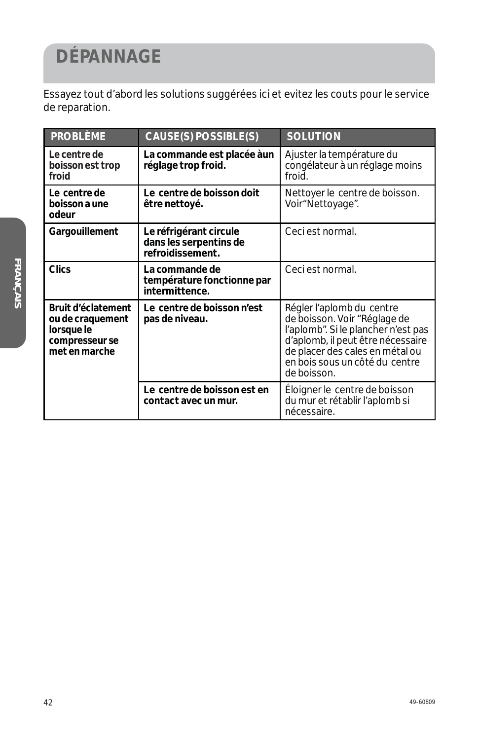# **DÉPANNAGE**

Essayez tout d'abord les solutions suggérées ici et evitez les couts pour le service de reparation.

| <b>PROBLÈME</b>                                                                         | CAUSE(S) POSSIBLE(S)                                                 | <b>SOLUTION</b>                                                                                                                                                                                                           |
|-----------------------------------------------------------------------------------------|----------------------------------------------------------------------|---------------------------------------------------------------------------------------------------------------------------------------------------------------------------------------------------------------------------|
| Le centre de<br>boisson est trop<br>froid                                               | La commande est placée àun<br>réglage trop froid.                    | Ajuster la température du<br>congélateur à un réglage moins<br>froid.                                                                                                                                                     |
| Le centre de<br>boisson a une<br>odeur                                                  | Le centre de boisson doit<br>être nettoyé.                           | Nettoyer le centre de boisson.<br>Voir"Nettoyage".                                                                                                                                                                        |
| Gargouillement                                                                          | Le réfrigérant circule<br>dans les serpentins de<br>refroidissement. | Ceci est normal.                                                                                                                                                                                                          |
| <b>Clics</b>                                                                            | La commande de<br>température fonctionne par<br>intermittence.       | Ceci est normal.                                                                                                                                                                                                          |
| Bruit d'éclatement<br>ou de craquement<br>lorsque le<br>compresseur se<br>met en marche | Le centre de boisson n'est<br>pas de niveau.                         | Régler l'aplomb du centre<br>de boisson. Voir "Réglage de<br>l'aplomb". Si le plancher n'est pas<br>d'aplomb, il peut être nécessaire<br>de placer des cales en métal ou<br>en bois sous un côté du centre<br>de boisson. |
|                                                                                         | Le centre de boisson est en<br>contact avec un mur.                  | Éloigner le centre de boisson<br>du mur et rétablir l'aplomb si<br>nécessaire.                                                                                                                                            |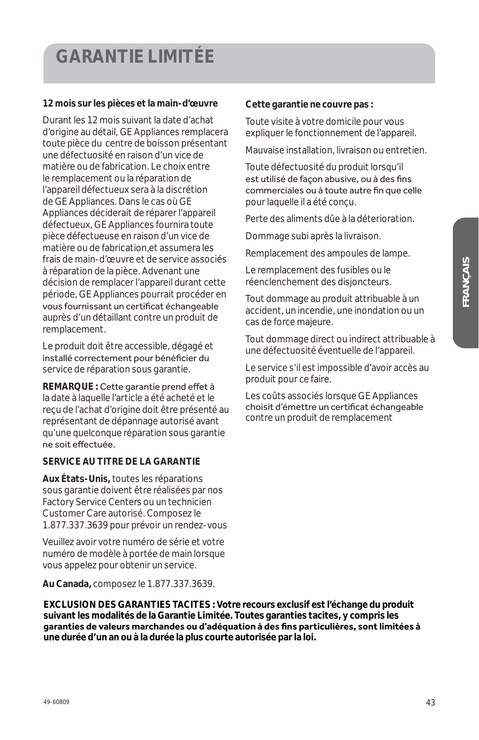## **GARANTIE LIMITÉE**

#### **12 mois sur les pièces et la main-d'œuvre**

Durant les 12 mois suivant la date d'achat d'origine au détail, GE Appliances remplacera toute pièce du centre de boisson présentant une défectuosité en raison d'un vice de matière ou de fabrication. Le choix entre le remplacement ou la réparation de l'appareil défectueux sera à la discrétion de GE Appliances. Dans le cas où GE Appliances déciderait de réparer l'appareil défectueux, GE Appliances fournira toute pièce défectueuse en raison d'un vice de matière ou de fabrication,et assumera les frais de main-d'œuvre et de service associés à réparation de la pièce. Advenant une décision de remplacer l'appareil durant cette période, GE Appliances pourrait procéder en vous fournissant un certificat échangeable auprès d'un détaillant contre un produit de remplacement.

Le produit doit être accessible, dégagé et installé correctement pour bénéficier du service de réparation sous garantie.

**REMARQUE : Cette garantie prend effet à** la date à laquelle l'article a été acheté et le reçu de l'achat d'origine doit être présenté au représentant de dépannage autorisé avant qu'une quelconque réparation sous garantie ne soit effectuée.

#### **SERVICE AU TITRE DE LA GARANTIE**

**Aux États-Unis,** toutes les réparations sous garantie doivent être réalisées par nos Factory Service Centers ou un technicien Customer Care autorisé. Composez le 1.877.337.3639 pour prévoir un rendez-vous

Veuillez avoir votre numéro de série et votre numéro de modèle à portée de main lorsque vous appelez pour obtenir un service.

**Au Canada,** composez le 1.877.337.3639.

**EXCLUSION DES GARANTIES TACITES : Votre recours exclusif est l'échange du produit suivant les modalités de la Garantie Limitée. Toutes garanties tacites, y compris les**  garanties de valeurs marchandes ou d'adéquation à des fins particulières, sont limitées à **une durée d'un an ou à la durée la plus courte autorisée par la loi.**

#### **Cette garantie ne couvre pas :**

Toute visite à votre domicile pour vous expliquer le fonctionnement de l'appareil.

Mauvaise installation, livraison ou entretien.

Toute défectuosité du produit lorsqu'il est utilisé de façon abusive, ou à des fins commerciales ou à toute autre fin que celle pour laquelle il a été conçu.

Perte des aliments dûe à la déterioration.

Dommage subi après la livraison.

Remplacement des ampoules de lampe.

Le remplacement des fusibles ou le réenclenchement des disjoncteurs.

Tout dommage au produit attribuable à un accident, un incendie, une inondation ou un cas de force majeure.

Tout dommage direct ou indirect attribuable à une défectuosité éventuelle de l'appareil.

Le service s'il est impossible d'avoir accès au produit pour ce faire.

Les coûts associés lorsque GE Appliances choisit d'émettre un certificat échangeable contre un produit de remplacement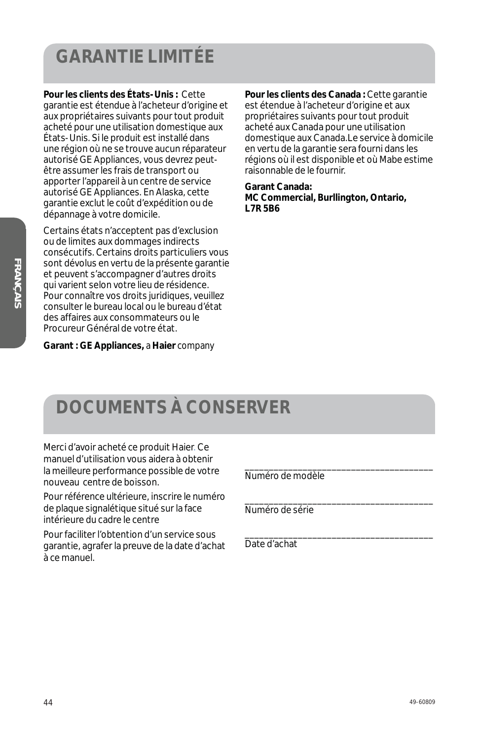# **GARANTIE LIMITÉE**

**Pour les clients des États-Unis :** Cette garantie est étendue à l'acheteur d'origine et aux propriétaires suivants pour tout produit acheté pour une utilisation domestique aux États-Unis. Si le produit est installé dans une région où ne se trouve aucun réparateur autorisé GE Appliances, vous devrez peutêtre assumer les frais de transport ou apporter l'appareil à un centre de service autorisé GE Appliances. En Alaska, cette garantie exclut le coût d'expédition ou de dépannage à votre domicile.

Certains états n'acceptent pas d'exclusion ou de limites aux dommages indirects consécutifs. Certains droits particuliers vous sont dévolus en vertu de la présente garantie et peuvent s'accompagner d'autres droits qui varient selon votre lieu de résidence. Pour connaître vos droits juridiques, veuillez consulter le bureau local ou le bureau d'état des affaires aux consommateurs ou le Procureur Général de votre état.

**Pour les clients des Canada :** Cette garantie est étendue à l'acheteur d'origine et aux propriétaires suivants pour tout produit acheté aux Canada pour une utilisation domestique aux Canada.Le service à domicile en vertu de la garantie sera fourni dans les régions où il est disponible et où Mabe estime raisonnable de le fournir.

**Garant Canada: MC Commercial, Burllington, Ontario, L7R 5B6**

**Garant : GE Appliances,** *a* **Haier** *company*

# **DOCUMENTS À CONSERVER**

Merci d'avoir acheté ce produit Haier. Ce manuel d'utilisation vous aidera à obtenir la meilleure performance possible de votre nouveau centre de boisson.

Pour référence ultérieure, inscrire le numéro de plaque signalétique situé sur la face intérieure du cadre le centre

Pour faciliter l'obtention d'un service sous garantie, agrafer la preuve de la date d'achat à ce manuel.

Numéro de modèle

\_\_\_\_\_\_\_\_\_\_\_\_\_\_\_\_\_\_\_\_\_\_\_\_\_\_\_\_\_\_\_\_\_\_\_\_\_\_\_

\_\_\_\_\_\_\_\_\_\_\_\_\_\_\_\_\_\_\_\_\_\_\_\_\_\_\_\_\_\_\_\_\_\_\_\_\_\_\_

\_\_\_\_\_\_\_\_\_\_\_\_\_\_\_\_\_\_\_\_\_\_\_\_\_\_\_\_\_\_\_\_\_\_\_\_\_\_\_

Numéro de série

Date d'achat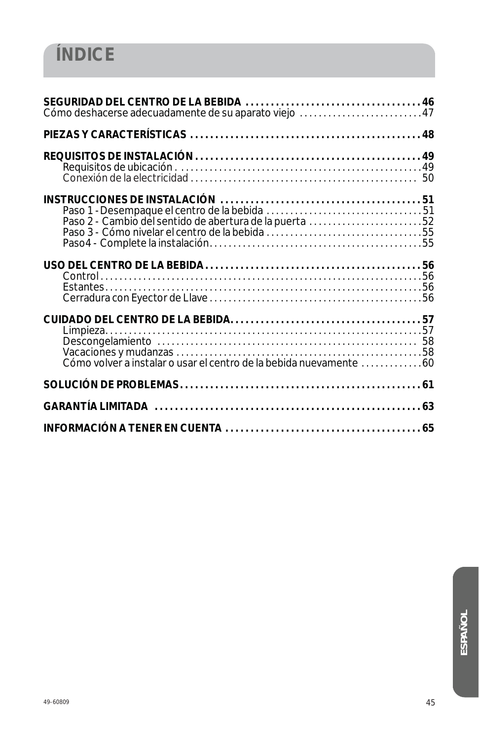| Cómo deshacerse adecuadamente de su aparato viejo 47               |  |
|--------------------------------------------------------------------|--|
|                                                                    |  |
|                                                                    |  |
| Paso 2 - Cambio del sentido de abertura de la puerta 52            |  |
|                                                                    |  |
| Cómo volver a instalar o usar el centro de la bebida nuevamente 60 |  |
|                                                                    |  |
|                                                                    |  |
|                                                                    |  |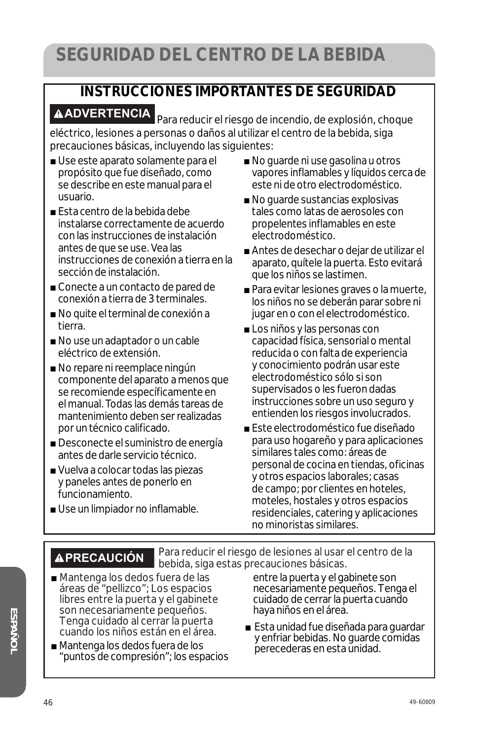#### **INSTRUCCIONES IMPORTANTES DE SEGURIDAD**

**ADVERTENCIA** Para reducir el riesgo de incendio, de explosión, choque eléctrico, lesiones a personas o daños al utilizar el centro de la bebida, siga precauciones básicas, incluyendo las siguientes:

- Use este aparato solamente para el propósito que fue diseñado, como se describe en este manual para el usuario.
- Esta centro de la bebida debe instalarse correctamente de acuerdo con las instrucciones de instalación antes de que se use. Vea las instrucciones de conexión a tierra en la sección de instalación.
- Conecte a un contacto de pared de conexión a tierra de 3 terminales.
- No quite el terminal de conexión a tierra.
- No use un adaptador o un cable eléctrico de extensión.
- No repare ni reemplace ningún componente del aparato a menos que se recomiende específicamente en el manual. Todas las demás tareas de mantenimiento deben ser realizadas por un técnico calificado.
- Desconecte el suministro de energía antes de darle servicio técnico.
- Vuelva a colocar todas las piezas y paneles antes de ponerlo en funcionamiento.
- Use un limpiador no inflamable.
- No guarde ni use gasolina u otros vapores inflamables y líquidos cerca de este ni de otro electrodoméstico.
- $\blacksquare$  No guarde sustancias explosivas tales como latas de aerosoles con propelentes inflamables en este electrodoméstico.
- Antes de desechar o dejar de utilizar el aparato, quítele la puerta. Esto evitará que los niños se lastimen.
- $\blacksquare$  Para evitar lesiones graves o la muerte, los niños no se deberán parar sobre ni jugar en o con el electrodoméstico.
- Los niños y las personas con capacidad física, sensorial o mental reducida o con falta de experiencia y conocimiento podrán usar este electrodoméstico sólo si son supervisados o les fueron dadas instrucciones sobre un uso seguro y entienden los riesgos involucrados.
- Este electrodoméstico fue diseñado para uso hogareño y para aplicaciones similares tales como: áreas de personal de cocina en tiendas, oficinas y otros espacios laborales; casas de campo; por clientes en hoteles, moteles, hostales y otros espacios residenciales, catering y aplicaciones no minoristas similares.

**PRECAUCIÓN** Para reducir el riesgo de lesiones al usar el centro de la bebida, siga estas precauciones básicas.

- Mantenga los dedos fuera de las áreas de "pellizco"; Los espacios libres entre la puerta y el gabinete son necesariamente pequeños. Tenga cuidado al cerrar la puerta cuando los niños están en el área.
- Mantenga los dedos fuera de los "puntos de compresión"; los espacios

entre la puerta y el gabinete son necesariamente pequeños. Tenga el cuidado de cerrar la puerta cuando haya niños en el área.

■ Esta unidad fue diseñada para guardar y enfriar bebidas. No guarde comidas perecederas en esta unidad.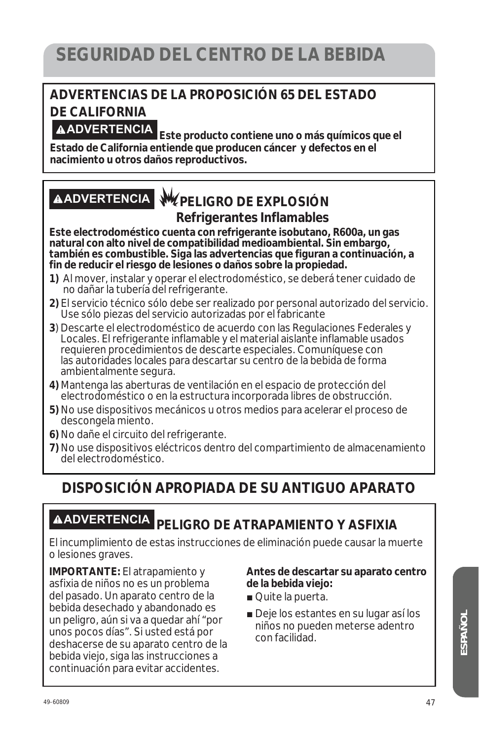#### **ADVERTENCIAS DE LA PROPOSICIÓN 65 DEL ESTADO DE CALIFORNIA**

**ADVERTENCIA Este producto contiene uno o más químicos que el Estado de California entiende que producen cáncer y defectos en el nacimiento u otros daños reproductivos.**

#### **ADVERTENCIA PELIGRO DE EXPLOSIÓN Refrigerantes Inflamables**

**Este electrodoméstico cuenta con refrigerante isobutano, R600a, un gas natural con alto nivel de compatibilidad medioambiental. Sin embargo, también es combustible. Siga las advertencias que figuran a continuación, a fin de reducir el riesgo de lesiones o daños sobre la propiedad.**

- **1)** Al mover, instalar y operar el electrodoméstico, se deberá tener cuidado de no dañar la tubería del refrigerante.
- **2)** El servicio técnico sólo debe ser realizado por personal autorizado del servicio. Use sólo piezas del servicio autorizadas por el fabricante
- **3**) Descarte el electrodoméstico de acuerdo con las Regulaciones Federales y Locales. El refrigerante inflamable y el material aislante inflamable usados requieren procedimientos de descarte especiales. Comuníquese con las autoridades locales para descartar su centro de la bebida de forma ambientalmente segura.
- **4)** Mantenga las aberturas de ventilación en el espacio de protección del electrodoméstico o en la estructura incorporada libres de obstrucción.
- **5)** No use dispositivos mecánicos u otros medios para acelerar el proceso de descongela miento.
- **6)** No dañe el circuito del refrigerante.
- **7)** No use dispositivos eléctricos dentro del compartimiento de almacenamiento del electrodoméstico.

#### **DISPOSICIÓN APROPIADA DE SU ANTIGUO APARATO**

# **ADVERTENCIA PELIGRO DE ATRAPAMIENTO Y ASFIXIA**

El incumplimiento de estas instrucciones de eliminación puede causar la muerte o lesiones graves.

**IMPORTANTE:** El atrapamiento y asfixia de niños no es un problema del pasado. Un aparato centro de la bebida desechado y abandonado es un peligro, aún si va a quedar ahí "por unos pocos días". Si usted está por deshacerse de su aparato centro de la bebida viejo, siga las instrucciones a continuación para evitar accidentes.

#### **Antes de descartar su aparato centro de la bebida viejo:**

- Quite la puerta.
- Deje los estantes en su lugar así los niños no pueden meterse adentro con facilidad.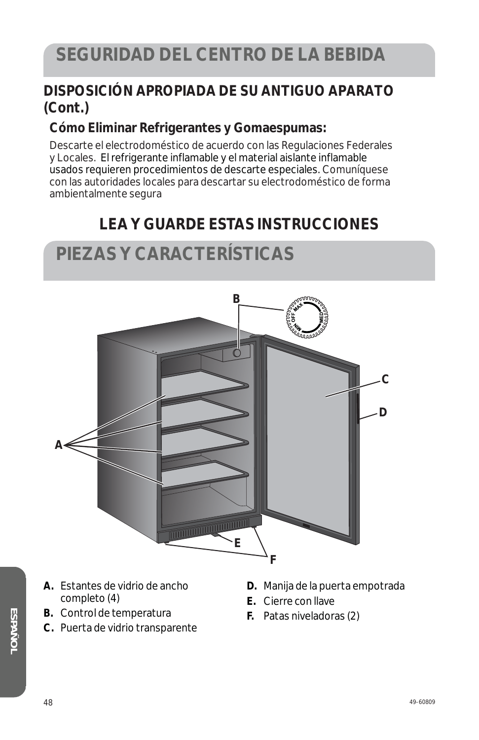#### **DISPOSICIÓN APROPIADA DE SU ANTIGUO APARATO (Cont.)**

#### **Cómo Eliminar Refrigerantes y Gomaespumas:**

Descarte el electrodoméstico de acuerdo con las Regulaciones Federales y Locales. El refrigerante inflamable y el material aislante inflamable usados requieren procedimientos de descarte especiales. Comuníquese con las autoridades locales para descartar su electrodoméstico de forma ambientalmente segura

#### **LEA Y GUARDE ESTAS INSTRUCCIONES**

### **PIEZAS Y CARACTERÍSTICAS**



- **A.** Estantes de vidrio de ancho completo (4)
- **B.** Control de temperatura
- **C.** Puerta de vidrio transparente
- **D.** Manija de la puerta empotrada
- **E.** Cierre con llave
- **F.** Patas niveladoras (2)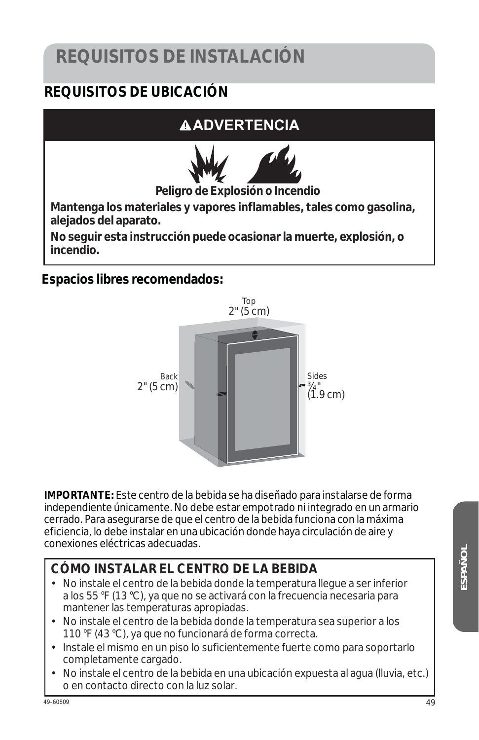# **REQUISITOS DE INSTALACIÓN**

#### **REQUISITOS DE UBICACIÓN**

#### **ADVERTENCIA**



**Peligro de Explosión o Incendio**

**Mantenga los materiales y vapores inflamables, tales como gasolina, alejados del aparato.** 

**No seguir esta instrucción puede ocasionar la muerte, explosión, o incendio.**

**Espacios libres recomendados:** 



**IMPORTANTE:** Este centro de la bebida se ha diseñado para instalarse de forma independiente únicamente. No debe estar empotrado ni integrado en un armario cerrado. Para asegurarse de que el centro de la bebida funciona con la máxima eficiencia, lo debe instalar en una ubicación donde haya circulación de aire y conexiones eléctricas adecuadas.

#### **CÓMO INSTALAR EL CENTRO DE LA BEBIDA**

- No instale el centro de la bebida donde la temperatura llegue a ser inferior a los 55 °F (13 °C), ya que no se activará con la frecuencia necesaria para mantener las temperaturas apropiadas.
- No instale el centro de la bebida donde la temperatura sea superior a los 110 °F (43 °C), ya que no funcionará de forma correcta.
- Instale el mismo en un piso lo suficientemente fuerte como para soportarlo completamente cargado.
- No instale el centro de la bebida en una ubicación expuesta al agua (lluvia, etc.) o en contacto directo con la luz solar.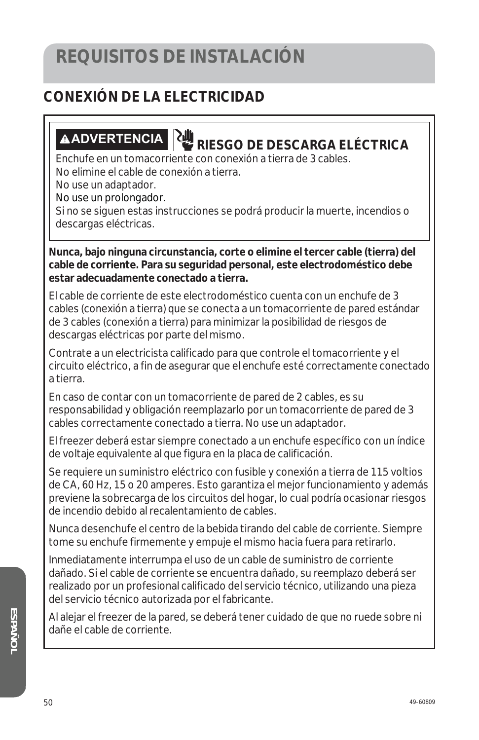#### **CONEXIÓN DE LA ELECTRICIDAD**

# **ADVERTENCIA RIESGO DE DESCARGA ELÉCTRICA**

Enchufe en un tomacorriente con conexión a tierra de 3 cables.

No elimine el cable de conexión a tierra.

No use un adaptador.

No use un prolongador.

Si no se siguen estas instrucciones se podrá producir la muerte, incendios o descargas eléctricas.

**Nunca, bajo ninguna circunstancia, corte o elimine el tercer cable (tierra) del cable de corriente. Para su seguridad personal, este electrodoméstico debe estar adecuadamente conectado a tierra.**

El cable de corriente de este electrodoméstico cuenta con un enchufe de 3 cables (conexión a tierra) que se conecta a un tomacorriente de pared estándar de 3 cables (conexión a tierra) para minimizar la posibilidad de riesgos de descargas eléctricas por parte del mismo.

Contrate a un electricista calificado para que controle el tomacorriente y el circuito eléctrico, a fin de asegurar que el enchufe esté correctamente conectado a tierra.

En caso de contar con un tomacorriente de pared de 2 cables, es su responsabilidad y obligación reemplazarlo por un tomacorriente de pared de 3 cables correctamente conectado a tierra. No use un adaptador.

El freezer deberá estar siempre conectado a un enchufe específico con un índice de voltaje equivalente al que figura en la placa de calificación.

Se requiere un suministro eléctrico con fusible y conexión a tierra de 115 voltios de CA, 60 Hz, 15 o 20 amperes. Esto garantiza el mejor funcionamiento y además previene la sobrecarga de los circuitos del hogar, lo cual podría ocasionar riesgos de incendio debido al recalentamiento de cables.

Nunca desenchufe el centro de la bebida tirando del cable de corriente. Siempre tome su enchufe firmemente y empuje el mismo hacia fuera para retirarlo.

Inmediatamente interrumpa el uso de un cable de suministro de corriente dañado. Si el cable de corriente se encuentra dañado, su reemplazo deberá ser realizado por un profesional calificado del servicio técnico, utilizando una pieza del servicio técnico autorizada por el fabricante.

Al alejar el freezer de la pared, se deberá tener cuidado de que no ruede sobre ni dañe el cable de corriente.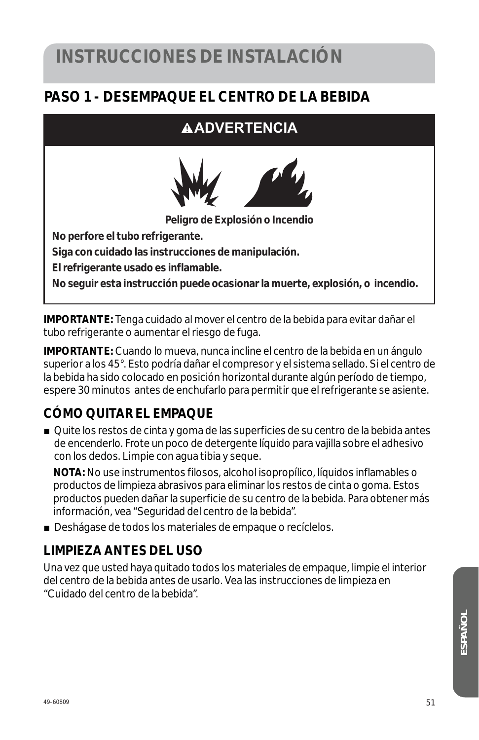#### **PASO 1 - DESEMPAQUE EL CENTRO DE LA BEBIDA**

#### **ADVERTENCIA**



**Peligro de Explosión o Incendio**

**No perfore el tubo refrigerante.** 

**Siga con cuidado las instrucciones de manipulación.** 

**El refrigerante usado es inflamable.** 

**No seguir esta instrucción puede ocasionar la muerte, explosión, o incendio.** 

**IMPORTANTE:** Tenga cuidado al mover el centro de la bebida para evitar dañar el tubo refrigerante o aumentar el riesgo de fuga.

**IMPORTANTE:** Cuando lo mueva, nunca incline el centro de la bebida en un ángulo superior a los 45°. Esto podría dañar el compresor y el sistema sellado. Si el centro de la bebida ha sido colocado en posición horizontal durante algún período de tiempo, espere 30 minutos antes de enchufarlo para permitir que el refrigerante se asiente.

#### **CÓMO QUITAR EL EMPAQUE**

■ Quite los restos de cinta y goma de las superficies de su centro de la bebida antes de encenderlo. Frote un poco de detergente líquido para vajilla sobre el adhesivo con los dedos. Limpie con agua tibia y seque.

 **NOTA:** No use instrumentos filosos, alcohol isopropílico, líquidos inflamables o productos de limpieza abrasivos para eliminar los restos de cinta o goma. Estos productos pueden dañar la superficie de su centro de la bebida. Para obtener más información, vea "Seguridad del centro de la bebida".

■ Deshágase de todos los materiales de empaque o recíclelos.

#### **LIMPIEZA ANTES DEL USO**

Una vez que usted haya quitado todos los materiales de empaque, limpie el interior del centro de la bebida antes de usarlo. Vea las instrucciones de limpieza en "Cuidado del centro de la bebida".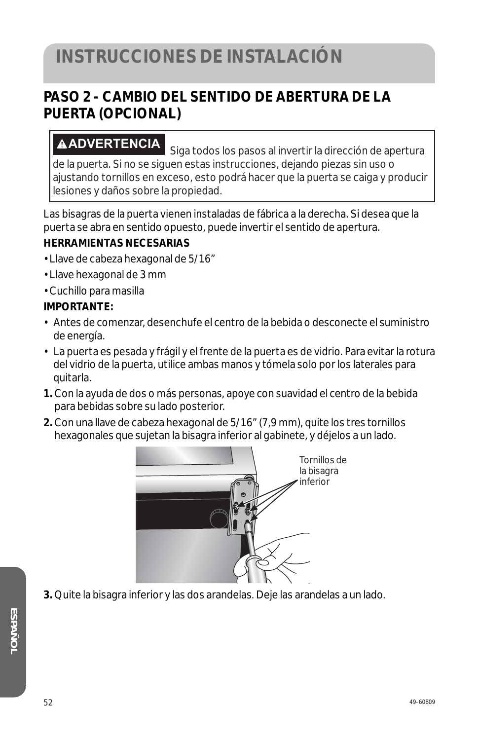#### **PASO 2 - CAMBIO DEL SENTIDO DE ABERTURA DE LA PUERTA (OPCIONAL)**

**ADVERTENCIA** Siga todos los pasos al invertir la dirección de apertura de la puerta. Si no se siguen estas instrucciones, dejando piezas sin uso o ajustando tornillos en exceso, esto podrá hacer que la puerta se caiga y producir lesiones y daños sobre la propiedad.

Las bisagras de la puerta vienen instaladas de fábrica a la derecha. Si desea que la puerta se abra en sentido opuesto, puede invertir el sentido de apertura.

#### **HERRAMIENTAS NECESARIAS**

- Llave de cabeza hexagonal de 5/16"
- Llave hexagonal de 3 mm
- Cuchillo para masilla

#### **IMPORTANTE:**

- Antes de comenzar, desenchufe el centro de la bebida o desconecte el suministro de energía.
- La puerta es pesada y frágil y el frente de la puerta es de vidrio. Para evitar la rotura del vidrio de la puerta, utilice ambas manos y tómela solo por los laterales para quitarla.
- **1.** Con la ayuda de dos o más personas, apoye con suavidad el centro de la bebida para bebidas sobre su lado posterior.
- **2.** Con una llave de cabeza hexagonal de 5/16" (7,9 mm), quite los tres tornillos hexagonales que sujetan la bisagra inferior al gabinete, y déjelos a un lado.



**3.** Quite la bisagra inferior y las dos arandelas. Deje las arandelas a un lado.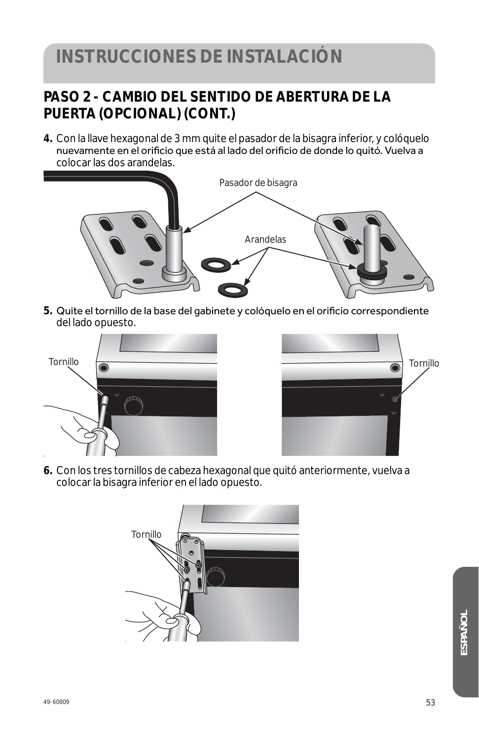#### **PASO 2 - CAMBIO DEL SENTIDO DE ABERTURA DE LA PUERTA (OPCIONAL) (CONT.)**

**4.** Con la llave hexagonal de 3 mm quite el pasador de la bisagra inferior, y colóquelo oomà liste nome genea<br>nuevamente en el orificio que está al lado del orificio de donde lo quitó. Vuelva a colocar las dos arandelas.



5. Quite el tornillo de la base del gabinete y colóquelo en el orificio correspondiente del lado opuesto.





**6.** Con los tres tornillos de cabeza hexagonal que quitó anteriormente, vuelva a colocar la bisagra inferior en el lado opuesto.

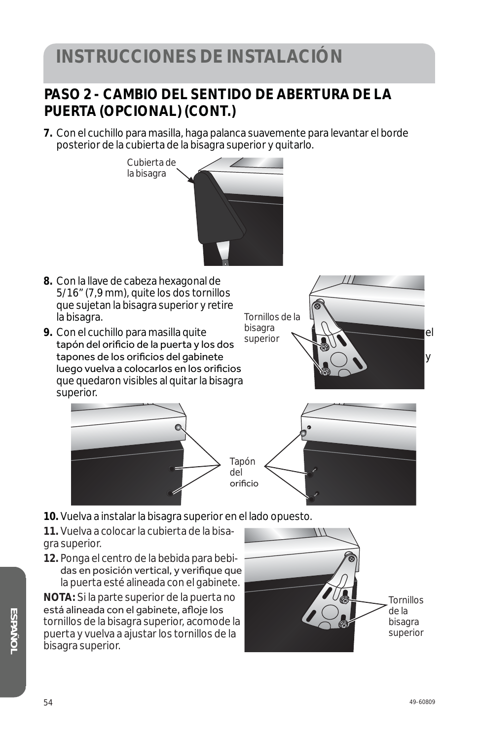#### **PASO 2 - CAMBIO DEL SENTIDO DE ABERTURA DE LA PUERTA (OPCIONAL) (CONT.)**

**7.** Con el cuchillo para masilla, haga palanca suavemente para levantar el borde posterior de la cubierta de la bisagra superior y quitarlo.



**11.** Vuelva a colocar la cubierta de la bisagra superior.

**12.** Ponga el centro de la bebida para bebidas en posición vertical, y verifique que la puerta esté alineada con el gabinete.

**NOTA:** Si la parte superior de la puerta no está alineada con el gabinete, afloje los tornillos de la bisagra superior, acomode la puerta y vuelva a ajustar los tornillos de la bisagra superior.

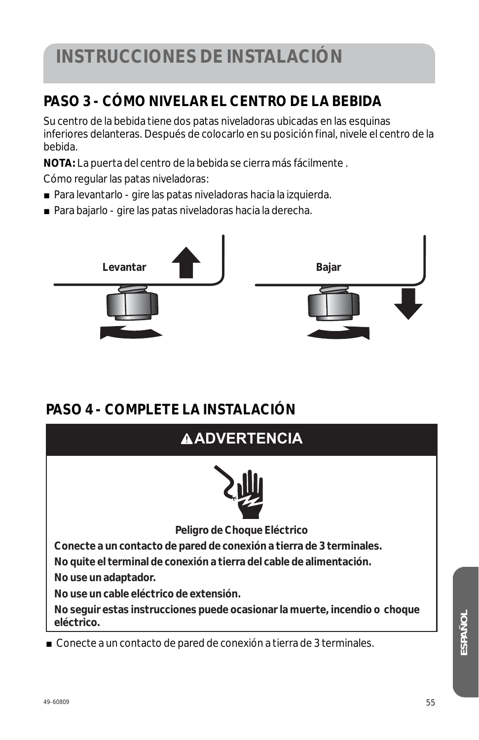#### **PASO 3 - CÓMO NIVELAR EL CENTRO DE LA BEBIDA**

Su centro de la bebida tiene dos patas niveladoras ubicadas en las esquinas inferiores delanteras. Después de colocarlo en su posición final, nivele el centro de la bebida.

**NOTA:** La puerta del centro de la bebida se cierra más fácilmente .

Cómo regular las patas niveladoras:

- Para levantarlo gire las patas niveladoras hacia la izquierda.
- Para bajarlo gire las patas niveladoras hacia la derecha.



#### **PASO 4 - COMPLETE LA INSTALACIÓN**



*ESPAÑOL*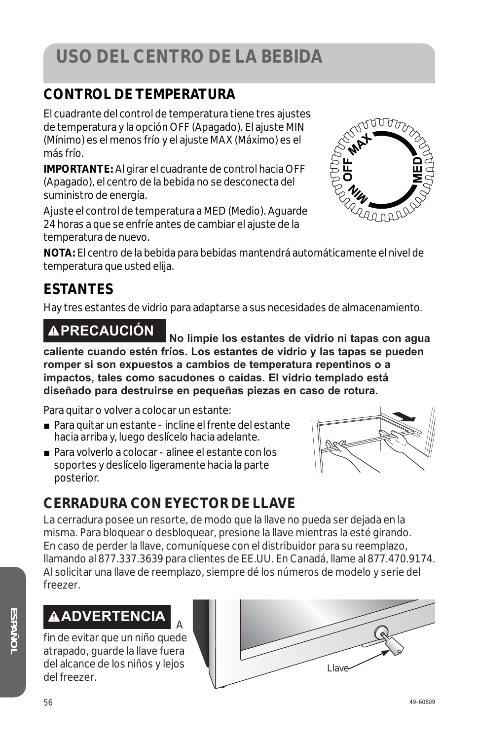# **USO DEL CENTRO DE LA BEBIDA**

#### **CONTROL DE TEMPERATURA**

El cuadrante del control de temperatura tiene tres ajustes de temperatura y la opción OFF (Apagado). El ajuste MIN (Mínimo) es el menos frío y el ajuste MAX (Máximo) es el más frío.

**IMPORTANTE:** Al girar el cuadrante de control hacia OFF (Apagado), el centro de la bebida no se desconecta del suministro de energía.

Ajuste el control de temperatura a MED (Medio). Aguarde 24 horas a que se enfríe antes de cambiar el ajuste de la temperatura de nuevo.



**NOTA:** El centro de la bebida para bebidas mantendrá automáticamente el nivel de temperatura que usted elija.

#### **ESTANTES**

Hay tres estantes de vidrio para adaptarse a sus necesidades de almacenamiento.

**PRECAUCIÓN No limpie los estantes de vidrio ni tapas con agua caliente cuando estén fríos. Los estantes de vidrio y las tapas se pueden romper si son expuestos a cambios de temperatura repentinos o a impactos, tales como sacudones o caídas. El vidrio templado está diseñado para destruirse en pequeñas piezas en caso de rotura.** 

Para quitar o volver a colocar un estante:

- Para quitar un estante incline el frente del estante hacia arriba y, luego deslícelo hacia adelante.
- Para volverlo a colocar alinee el estante con los soportes y deslícelo ligeramente hacia la parte posterior.

#### **CERRADURA CON EYECTOR DE LLAVE**

La cerradura posee un resorte, de modo que la llave no pueda ser dejada en la misma. Para bloquear o desbloquear, presione la llave mientras la esté girando. En caso de perder la llave, comuníquese con el distribuidor para su reemplazo, llamando al 877.337.3639 para clientes de EE.UU. En Canadá, llame al 877.470.9174. Al solicitar una llave de reemplazo, siempre dé los números de modelo y serie del freezer.

#### **ADVERTENCIA**<sup>A</sup>

fin de evitar que un niño quede atrapado, guarde la llave fuera del alcance de los niños y lejos del freezer.

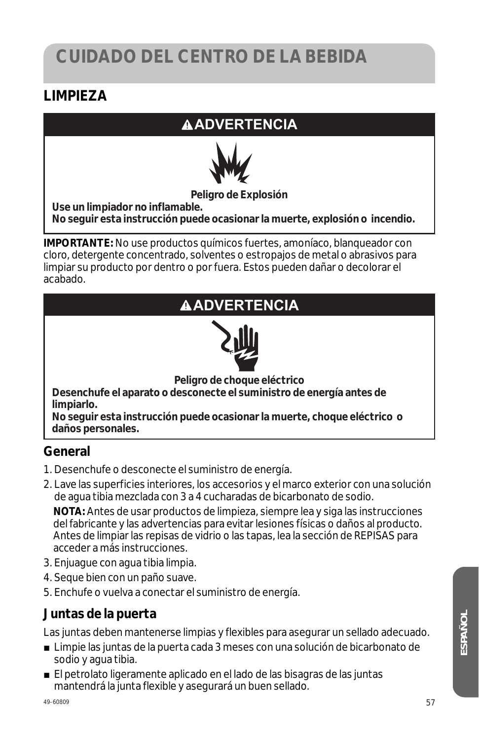#### **LIMPIEZA**

#### **ADVERTENCIA**



#### **Peligro de Explosión**

**Use un limpiador no inflamable. No seguir esta instrucción puede ocasionar la muerte, explosión o incendio.** 

**IMPORTANTE:** No use productos químicos fuertes, amoníaco, blanqueador con cloro, detergente concentrado, solventes o estropajos de metal o abrasivos para limpiar su producto por dentro o por fuera. Estos pueden dañar o decolorar el acabado.

#### **ADVERTENCIA**



**Peligro de choque eléctrico** 

**Desenchufe el aparato o desconecte el suministro de energía antes de limpiarlo.** 

**No seguir esta instrucción puede ocasionar la muerte, choque eléctrico o daños personales.** 

#### **General**

- 1. Desenchufe o desconecte el suministro de energía.
- 2. Lave las superficies interiores, los accesorios y el marco exterior con una solución de agua tibia mezclada con 3 a 4 cucharadas de bicarbonato de sodio.

 **NOTA:** Antes de usar productos de limpieza, siempre lea y siga las instrucciones del fabricante y las advertencias para evitar lesiones físicas o daños al producto. Antes de limpiar las repisas de vidrio o las tapas, lea la sección de REPISAS para acceder a más instrucciones.

- 3. Enjuague con agua tibia limpia.
- 4. Seque bien con un paño suave.
- 5. Enchufe o vuelva a conectar el suministro de energía.

#### **Juntas de la puerta**

Las juntas deben mantenerse limpias y flexibles para asegurar un sellado adecuado.

- Limpie las juntas de la puerta cada 3 meses con una solución de bicarbonato de sodio y agua tibia.
- El petrolato ligeramente aplicado en el lado de las bisagras de las juntas mantendrá la junta flexible y asegurará un buen sellado.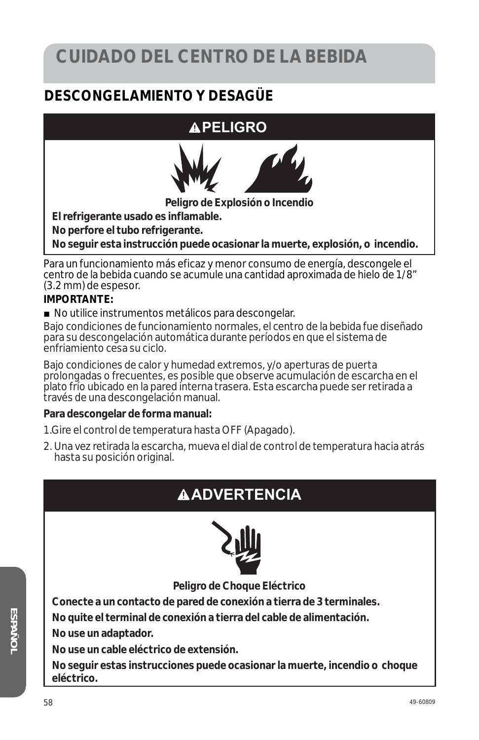#### **DESCONGELAMIENTO Y DESAGÜE**

#### **APELIGRO**



**Peligro de Explosión o Incendio** 

**El refrigerante usado es inflamable.** 

**No perfore el tubo refrigerante.** 

**No seguir esta instrucción puede ocasionar la muerte, explosión, o incendio.** 

Para un funcionamiento más eficaz y menor consumo de energía, descongele el centro de la bebida cuando se acumule una cantidad aproximada de hielo de 1/8" (3.2 mm) de espesor.

#### **IMPORTANTE:**

■ No utilice instrumentos metálicos para descongelar.

Bajo condiciones de funcionamiento normales, el centro de la bebida fue diseñado para su descongelación automática durante períodos en que el sistema de enfriamiento cesa su ciclo.

Bajo condiciones de calor y humedad extremos, y/o aperturas de puerta prolongadas o frecuentes, es posible que observe acumulación de escarcha en el plato frío ubicado en la pared interna trasera. Esta escarcha puede ser retirada a través de una descongelación manual.

#### **Para descongelar de forma manual:**

1. Gire el control de temperatura hasta OFF (Apagado).

2. Una vez retirada la escarcha, mueva el dial de control de temperatura hacia atrás hasta su posición original.

#### **ADVERTENCIA**



**Peligro de Choque Eléctrico** 

**Conecte a un contacto de pared de conexión a tierra de 3 terminales.** 

**No quite el terminal de conexión a tierra del cable de alimentación.** 

**No use un adaptador.** 

**No use un cable eléctrico de extensión.** 

**No seguir estas instrucciones puede ocasionar la muerte, incendio o choque eléctrico.**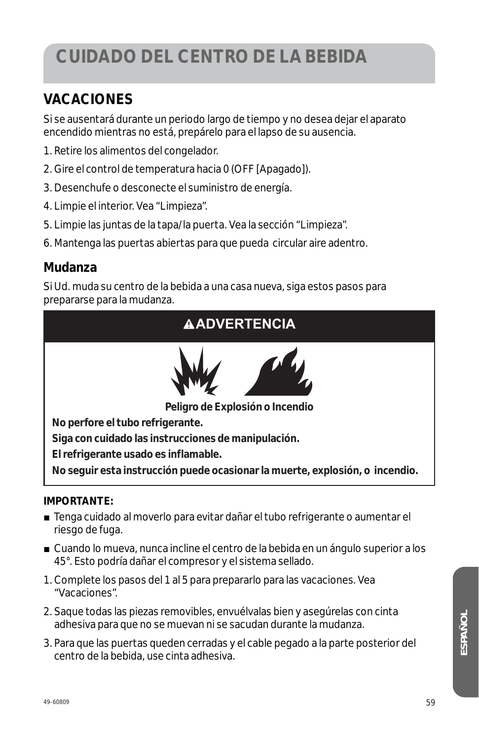#### **VACACIONES**

Si se ausentará durante un periodo largo de tiempo y no desea dejar el aparato encendido mientras no está, prepárelo para el lapso de su ausencia.

- 1. Retire los alimentos del congelador.
- 2. Gire el control de temperatura hacia 0 (OFF [Apagado]).
- 3. Desenchufe o desconecte el suministro de energía.
- 4. Limpie el interior. Vea "Limpieza".
- 5. Limpie las juntas de la tapa/la puerta. Vea la sección "Limpieza".
- 6. Mantenga las puertas abiertas para que pueda circular aire adentro.

#### **Mudanza**

Si Ud. muda su centro de la bebida a una casa nueva, siga estos pasos para prepararse para la mudanza.

#### **ADVERTENCIA**



**Peligro de Explosión o Incendio** 

**No perfore el tubo refrigerante.** 

**Siga con cuidado las instrucciones de manipulación.** 

**El refrigerante usado es inflamable.** 

**No seguir esta instrucción puede ocasionar la muerte, explosión, o incendio.** 

#### **IMPORTANTE:**

- Tenga cuidado al moverlo para evitar dañar el tubo refrigerante o aumentar el riesgo de fuga.
- Cuando lo mueva, nunca incline el centro de la bebida en un ángulo superior a los 45°. Esto podría dañar el compresor y el sistema sellado.
- 1. Complete los pasos del 1 al 5 para prepararlo para las vacaciones. Vea "Vacaciones".
- 2. Saque todas las piezas removibles, envuélvalas bien y asegúrelas con cinta adhesiva para que no se muevan ni se sacudan durante la mudanza.
- 3. Para que las puertas queden cerradas y el cable pegado a la parte posterior del centro de la bebida, use cinta adhesiva.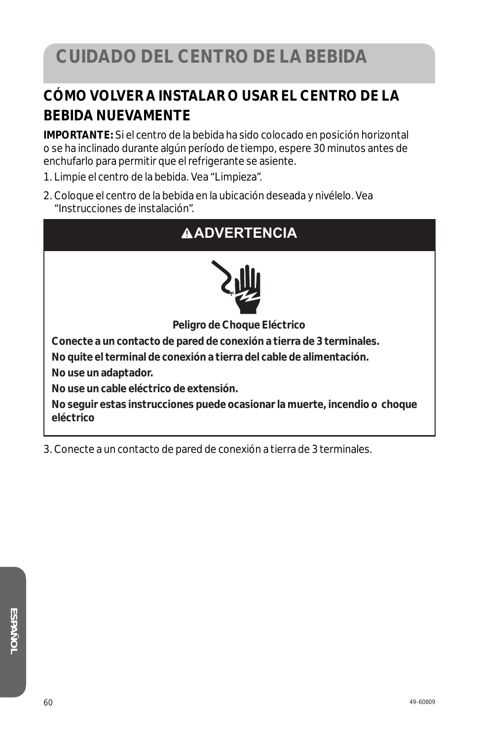#### **CÓMO VOLVER A INSTALAR O USAR EL CENTRO DE LA BEBIDA NUEVAMENTE**

**IMPORTANTE:** Si el centro de la bebida ha sido colocado en posición horizontal o se ha inclinado durante algún período de tiempo, espere 30 minutos antes de enchufarlo para permitir que el refrigerante se asiente.

- 1. Limpie el centro de la bebida. Vea "Limpieza".
- 2. Coloque el centro de la bebida en la ubicación deseada y nivélelo. Vea "Instrucciones de instalación".

#### **ADVERTENCIA**



**Peligro de Choque Eléctrico** 

**Conecte a un contacto de pared de conexión a tierra de 3 terminales.** 

**No quite el terminal de conexión a tierra del cable de alimentación.** 

**No use un adaptador.** 

**No use un cable eléctrico de extensión.** 

**No seguir estas instrucciones puede ocasionar la muerte, incendio o choque eléctrico**

3. Conecte a un contacto de pared de conexión a tierra de 3 terminales.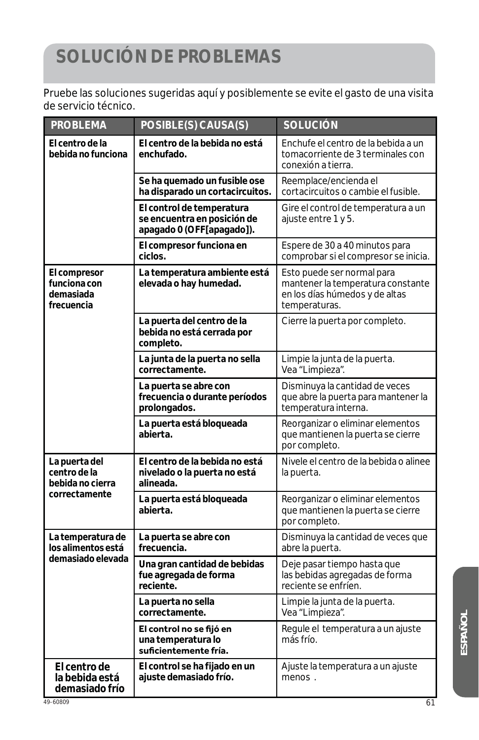# **SOLUCIÓN DE PROBLEMAS**

Pruebe las soluciones sugeridas aquí y posiblemente se evite el gasto de una visita de servicio técnico.

| <b>PROBLEMA</b>                                                    | POSIBLE(S) CAUSA(S)                                                                   | <b>SOLUCIÓN</b>                                                                                                    |
|--------------------------------------------------------------------|---------------------------------------------------------------------------------------|--------------------------------------------------------------------------------------------------------------------|
| El centro de la<br>bebida no funciona                              | El centro de la bebida no está<br>enchufado.                                          | Enchufe el centro de la bebida a un<br>tomacorriente de 3 terminales con<br>conexión a tierra.                     |
|                                                                    | Se ha quemado un fusible ose<br>ha disparado un cortacircuitos.                       | Reemplace/encienda el<br>cortacircuitos o cambie el fusible.                                                       |
|                                                                    | El control de temperatura<br>se encuentra en posición de<br>apagado 0 (OFF[apagado]). | Gire el control de temperatura a un<br>ajuste entre 1 y 5.                                                         |
|                                                                    | El compresor funciona en<br>ciclos.                                                   | Espere de 30 a 40 minutos para<br>comprobar si el compresor se inicia.                                             |
| El compresor<br>funciona con<br>demasiada<br>frecuencia            | La temperatura ambiente está<br>elevada o hay humedad.                                | Esto puede ser normal para<br>mantener la temperatura constante<br>en los días húmedos y de altas<br>temperaturas. |
|                                                                    | La puerta del centro de la<br>bebida no está cerrada por<br>completo.                 | Cierre la puerta por completo.                                                                                     |
|                                                                    | La junta de la puerta no sella<br>correctamente.                                      | Limpie la junta de la puerta.<br>Vea "Limpieza".                                                                   |
|                                                                    | La puerta se abre con<br>frecuencia o durante períodos<br>prolongados.                | Disminuya la cantidad de veces<br>que abre la puerta para mantener la<br>temperatura interna.                      |
|                                                                    | La puerta está bloqueada<br>abierta.                                                  | Reorganizar o eliminar elementos<br>que mantienen la puerta se cierre<br>por completo.                             |
| La puerta del<br>centro de la<br>bebida no cierra<br>correctamente | El centro de la bebida no está<br>nivelado o la puerta no está<br>alineada.           | Nivele el centro de la bebida o alinee<br>la puerta.                                                               |
|                                                                    | La puerta está bloqueada<br>abierta.                                                  | Reorganizar o eliminar elementos<br>que mantienen la puerta se cierre<br>por completo.                             |
| La temperatura de<br>los alimentos está                            | La puerta se abre con<br>frecuencia.                                                  | Disminuya la cantidad de veces que<br>abre la puerta.                                                              |
| demasiado elevada                                                  | Una gran cantidad de bebidas<br>fue agregada de forma<br>reciente.                    | Deje pasar tiempo hasta que<br>las bebidas agregadas de forma<br>reciente se enfríen.                              |
|                                                                    | La puerta no sella<br>correctamente.                                                  | Limpie la junta de la puerta.<br>Vea "Limpieza".                                                                   |
|                                                                    | El control no se fijó en<br>una temperatura lo<br>suficientemente fría.               | Regule el temperatura a un ajuste<br>más frío.                                                                     |
| El centro de<br>la bebida está<br>demasiado frío                   | El control se ha fijado en un<br>ajuste demasiado frío.                               | Ajuste la temperatura a un ajuste<br>menos.                                                                        |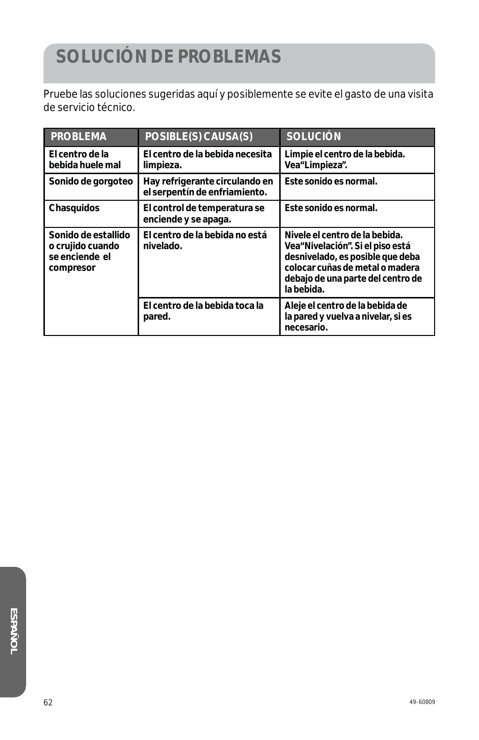# **SOLUCIÓN DE PROBLEMAS**

Pruebe las soluciones sugeridas aquí y posiblemente se evite el gasto de una visita de servicio técnico.

| <b>PROBLEMA</b>                                                        | POSIBLE(S) CAUSA(S)                                             | <b>SOLUCIÓN</b>                                                                                                                                                                              |
|------------------------------------------------------------------------|-----------------------------------------------------------------|----------------------------------------------------------------------------------------------------------------------------------------------------------------------------------------------|
| El centro de la<br>bebida huele mal                                    | El centro de la bebida necesita<br>limpieza.                    | Limpie el centro de la bebida.<br>Vea"Limpieza".                                                                                                                                             |
| Sonido de gorgoteo                                                     | Hay refrigerante circulando en<br>el serpentín de enfriamiento. | Este sonido es normal.                                                                                                                                                                       |
| Chasquidos                                                             | El control de temperatura se<br>enciende y se apaga.            | Este sonido es normal.                                                                                                                                                                       |
| Sonido de estallido<br>o crujido cuando<br>se enciende el<br>compresor | El centro de la bebida no está<br>nivelado.                     | Nivele el centro de la bebida.<br>Vea"Nivelación". Si el piso está<br>desnivelado, es posible que deba<br>colocar cuñas de metal o madera<br>debajo de una parte del centro de<br>la bebida. |
|                                                                        | El centro de la bebida toca la<br>pared.                        | Aleje el centro de la bebida de<br>la pared y vuelva a nivelar, si es<br>necesario.                                                                                                          |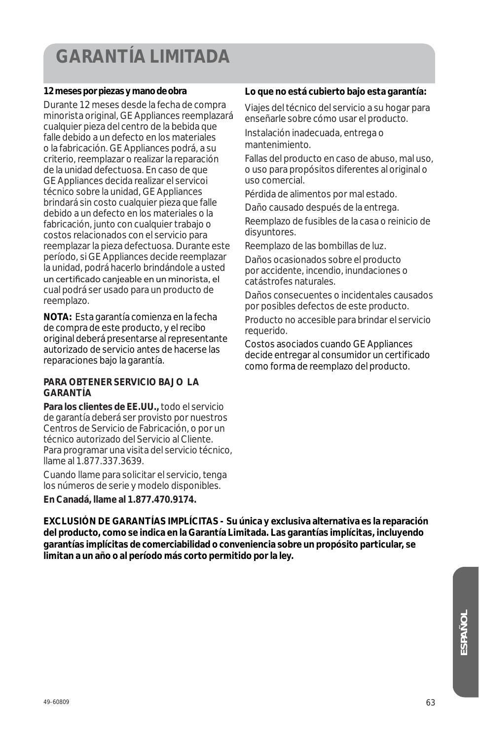# **GARANTÍA LIMITADA**

#### **12 meses por piezas y mano de obra**

Durante 12 meses desde la fecha de compra minorista original, GE Appliances reemplazará cualquier pieza del centro de la bebida que falle debido a un defecto en los materiales o la fabricación. GE Appliances podrá, a su criterio, reemplazar o realizar la reparación de la unidad defectuosa. En caso de que GE Appliances decida realizar el servicoi técnico sobre la unidad, GE Appliances brindará sin costo cualquier pieza que falle debido a un defecto en los materiales o la fabricación, junto con cualquier trabajo o costos relacionados con el servicio para reemplazar la pieza defectuosa. Durante este período, si GE Appliances decide reemplazar la unidad, podrá hacerlo brindándole a usted un certificado canjeable en un minorista, el cual podrá ser usado para un producto de reemplazo.

**NOTA:** Esta garantía comienza en la fecha de compra de este producto, y el recibo original deberá presentarse al representante autorizado de servicio antes de hacerse las reparaciones bajo la garantía.

#### **PARA OBTENER SERVICIO BAJO LA GARANTÍA**

**Para los clientes de EE.UU.,** todo el servicio de garantía deberá ser provisto por nuestros Centros de Servicio de Fabricación, o por un técnico autorizado del Servicio al Cliente. Para programar una visita del servicio técnico, llame al 1.877.337.3639.

Cuando llame para solicitar el servicio, tenga los números de serie y modelo disponibles.

**En Canadá, llame al 1.877.470.9174.**

#### **Lo que no está cubierto bajo esta garantía:**

Viajes del técnico del servicio a su hogar para enseñarle sobre cómo usar el producto.

Instalación inadecuada, entrega o mantenimiento.

Fallas del producto en caso de abuso, mal uso, o uso para propósitos diferentes al original o uso comercial.

Pérdida de alimentos por mal estado.

Daño causado después de la entrega.

Reemplazo de fusibles de la casa o reinicio de disyuntores.

Reemplazo de las bombillas de luz.

Daños ocasionados sobre el producto por accidente, incendio, inundaciones o catástrofes naturales.

Daños consecuentes o incidentales causados por posibles defectos de este producto.

Producto no accesible para brindar el servicio requerido.

Costos asociados cuando GE Appliances decide entregar al consumidor un certificado como forma de reemplazo del producto.

**EXCLUSIÓN DE GARANTÍAS IMPLÍCITAS - Su única y exclusiva alternativa es la reparación del producto, como se indica en la Garantía Limitada. Las garantías implícitas, incluyendo garantías implícitas de comerciabilidad o conveniencia sobre un propósito particular, se limitan a un año o al período más corto permitido por la ley.**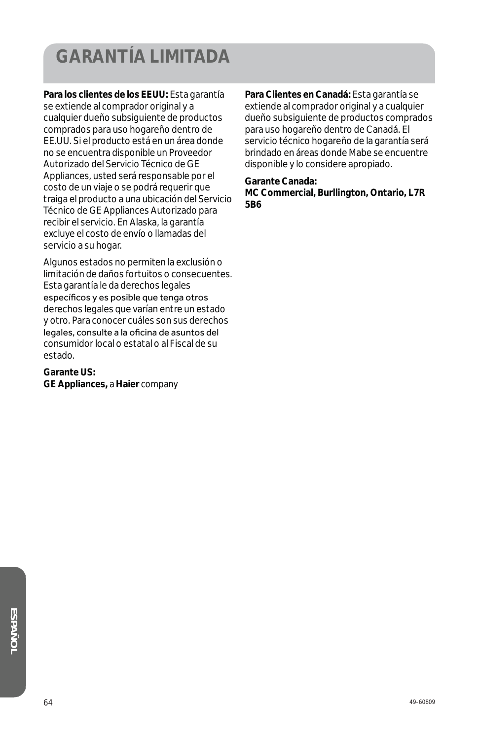# **GARANTÍA LIMITADA**

**Para los clientes de los EEUU:** Esta garantía se extiende al comprador original y a cualquier dueño subsiguiente de productos comprados para uso hogareño dentro de EE.UU. Si el producto está en un área donde no se encuentra disponible un Proveedor Autorizado del Servicio Técnico de GE Appliances, usted será responsable por el costo de un viaje o se podrá requerir que traiga el producto a una ubicación del Servicio Técnico de GE Appliances Autorizado para recibir el servicio. En Alaska, la garantía excluye el costo de envío o llamadas del servicio a su hogar.

Algunos estados no permiten la exclusión o limitación de daños fortuitos o consecuentes. Esta garantía le da derechos legales específicos y es posible que tenga otros derechos legales que varían entre un estado y otro. Para conocer cuáles son sus derechos legales, consulte a la oficina de asuntos del consumidor local o estatal o al Fiscal de su estado.

#### **Garante US:**

**GE Appliances,** *a* **Haier** *company*

**Para Clientes en Canadá:** Esta garantía se extiende al comprador original y a cualquier dueño subsiguiente de productos comprados para uso hogareño dentro de Canadá. El servicio técnico hogareño de la garantía será brindado en áreas donde Mabe se encuentre disponible y lo considere apropiado.

**Garante Canada: MC Commercial, Burllington, Ontario, L7R 5B6**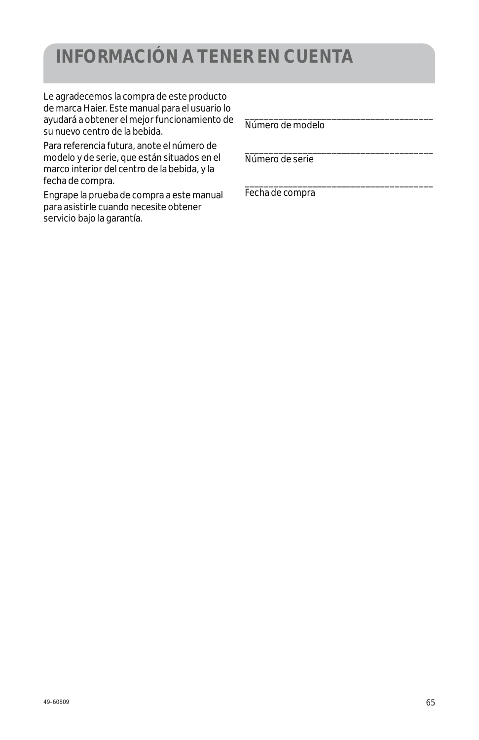## **INFORMACIÓN A TENER EN CUENTA**

Le agradecemos la compra de este producto de marca Haier. Este manual para el usuario lo ayudará a obtener el mejor funcionamiento de su nuevo centro de la bebida.

Para referencia futura, anote el número de modelo y de serie, que están situados en el marco interior del centro de la bebida, y la fecha de compra.

Engrape la prueba de compra a este manual para asistirle cuando necesite obtener servicio bajo la garantía.

Número de modelo

\_\_\_\_\_\_\_\_\_\_\_\_\_\_\_\_\_\_\_\_\_\_\_\_\_\_\_\_\_\_\_\_\_\_\_\_\_\_\_

\_\_\_\_\_\_\_\_\_\_\_\_\_\_\_\_\_\_\_\_\_\_\_\_\_\_\_\_\_\_\_\_\_\_\_\_\_\_\_

\_\_\_\_\_\_\_\_\_\_\_\_\_\_\_\_\_\_\_\_\_\_\_\_\_\_\_\_\_\_\_\_\_\_\_\_\_\_\_ Número de serie

Fecha de compra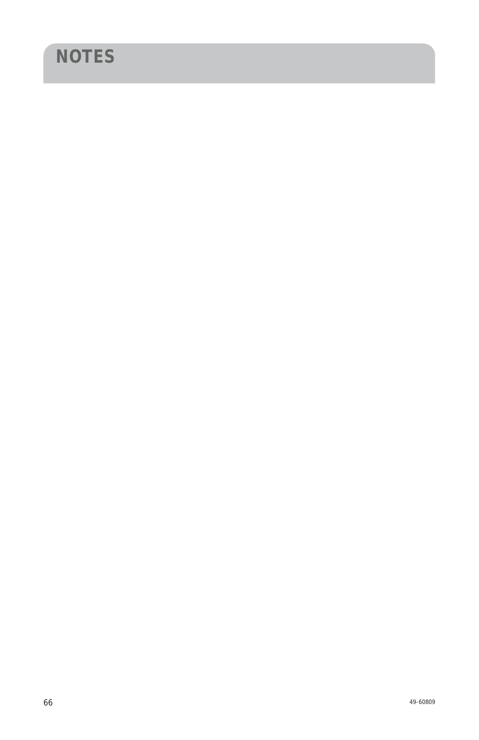# **NOTES**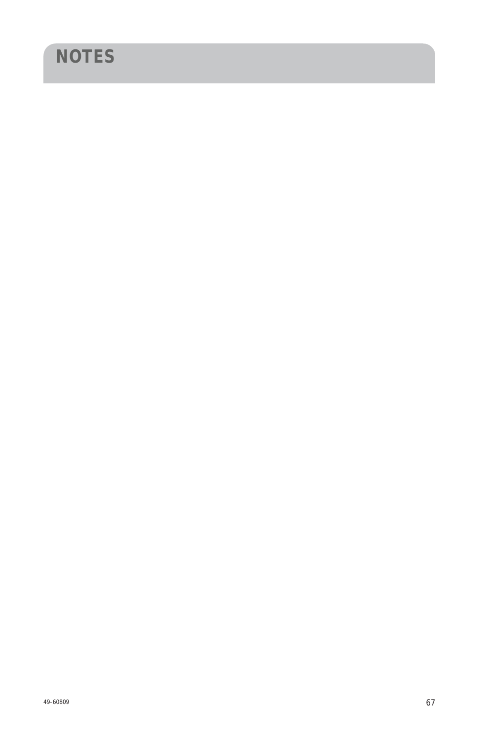# **NOTES**